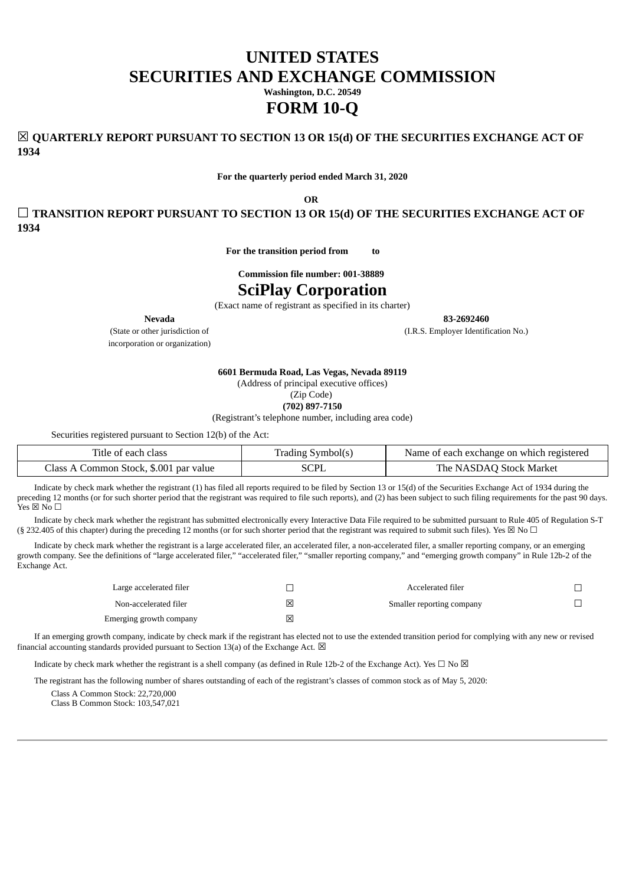# **UNITED STATES SECURITIES AND EXCHANGE COMMISSION Washington, D.C. 20549 FORM 10-Q**

☒ **QUARTERLY REPORT PURSUANT TO SECTION 13 OR 15(d) OF THE SECURITIES EXCHANGE ACT OF 1934**

**For the quarterly period ended March 31, 2020**

**OR**

☐ **TRANSITION REPORT PURSUANT TO SECTION 13 OR 15(d) OF THE SECURITIES EXCHANGE ACT OF 1934**

**For the transition period from to**

**Commission file number: 001-38889**

# **SciPlay Corporation**

(Exact name of registrant as specified in its charter)

incorporation or organization)

**Nevada 83-2692460**

(State or other jurisdiction of (I.R.S. Employer Identification No.)

**6601 Bermuda Road, Las Vegas, Nevada 89119**

(Address of principal executive offices)

(Zip Code)

**(702) 897-7150**

(Registrant's telephone number, including area code)

Securities registered pursuant to Section 12(b) of the Act:

| Title of each class                    | Trading Symbol(s) | Name of each exchange on which registered |
|----------------------------------------|-------------------|-------------------------------------------|
| Class A Common Stock, \$.001 par value | SCPL              | The NASDAQ Stock Market                   |

Indicate by check mark whether the registrant (1) has filed all reports required to be filed by Section 13 or 15(d) of the Securities Exchange Act of 1934 during the preceding 12 months (or for such shorter period that the registrant was required to file such reports), and (2) has been subject to such filing requirements for the past 90 days. Yes  $\boxtimes$  No  $\square$ 

Indicate by check mark whether the registrant has submitted electronically every Interactive Data File required to be submitted pursuant to Rule 405 of Regulation S-T (§ 232.405 of this chapter) during the preceding 12 months (or for such shorter period that the registrant was required to submit such files). Yes  $\boxtimes$  No  $\Box$ 

Indicate by check mark whether the registrant is a large accelerated filer, an accelerated filer, a non-accelerated filer, a smaller reporting company, or an emerging growth company. See the definitions of "large accelerated filer," "accelerated filer," "smaller reporting company," and "emerging growth company" in Rule 12b-2 of the Exchange Act.

| Large accelerated filer |   | Accelerated filer         |  |
|-------------------------|---|---------------------------|--|
| Non-accelerated filer   | × | Smaller reporting company |  |
| Emerging growth company | × |                           |  |

If an emerging growth company, indicate by check mark if the registrant has elected not to use the extended transition period for complying with any new or revised financial accounting standards provided pursuant to Section 13(a) of the Exchange Act.  $\boxtimes$ 

Indicate by check mark whether the registrant is a shell company (as defined in Rule 12b-2 of the Exchange Act). Yes  $\Box$  No  $\boxtimes$ 

The registrant has the following number of shares outstanding of each of the registrant's classes of common stock as of May 5, 2020:

Class A Common Stock: 22,720,000

Class B Common Stock: 103,547,021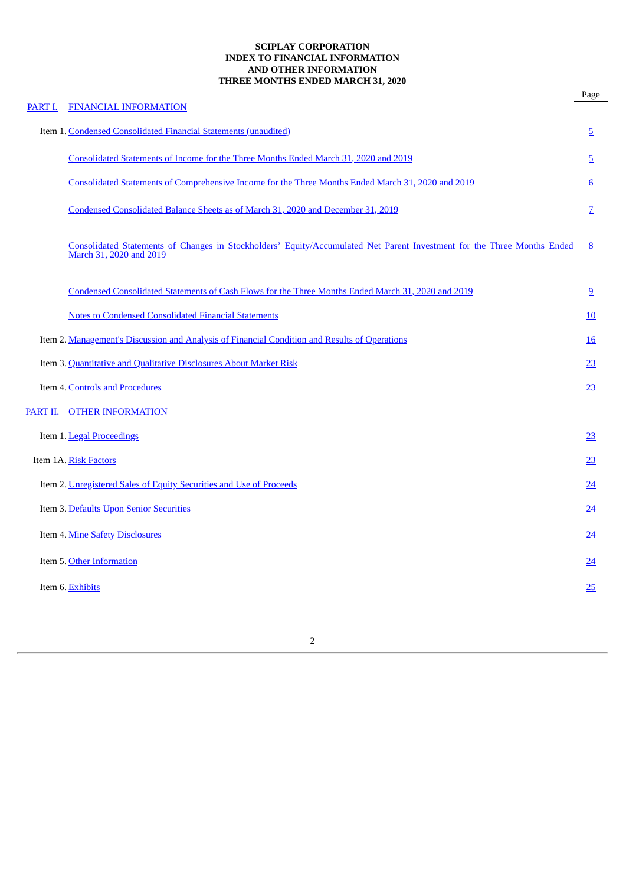# **SCIPLAY CORPORATION INDEX TO FINANCIAL INFORMATION AND OTHER INFORMATION THREE MONTHS ENDED MARCH 31, 2020**

|         |                                                                                                                                                    | Page            |
|---------|----------------------------------------------------------------------------------------------------------------------------------------------------|-----------------|
| PART I. | <b>FINANCIAL INFORMATION</b>                                                                                                                       |                 |
|         | Item 1. Condensed Consolidated Financial Statements (unaudited)                                                                                    | 5               |
|         | Consolidated Statements of Income for the Three Months Ended March 31, 2020 and 2019                                                               | <u>5</u>        |
|         | Consolidated Statements of Comprehensive Income for the Three Months Ended March 31, 2020 and 2019                                                 | $6\overline{6}$ |
|         | Condensed Consolidated Balance Sheets as of March 31, 2020 and December 31, 2019                                                                   | $\overline{Z}$  |
|         | Consolidated Statements of Changes in Stockholders' Equity/Accumulated Net Parent Investment for the Three Months Ended<br>March 31, 2020 and 2019 | 8               |
|         | Condensed Consolidated Statements of Cash Flows for the Three Months Ended March 31, 2020 and 2019                                                 | 9               |
|         | <b>Notes to Condensed Consolidated Financial Statements</b>                                                                                        | 10              |
|         | Item 2. Management's Discussion and Analysis of Financial Condition and Results of Operations                                                      | 16              |
|         | Item 3. Quantitative and Qualitative Disclosures About Market Risk                                                                                 | <u>23</u>       |
|         | Item 4. Controls and Procedures                                                                                                                    | 23              |
|         | PART II. OTHER INFORMATION                                                                                                                         |                 |
|         | Item 1. Legal Proceedings                                                                                                                          | 23              |
|         | Item 1A. Risk Factors                                                                                                                              | 23              |
|         | Item 2. Unregistered Sales of Equity Securities and Use of Proceeds                                                                                | <u>24</u>       |
|         | Item 3. Defaults Upon Senior Securities                                                                                                            | <u>24</u>       |
|         | Item 4. Mine Safety Disclosures                                                                                                                    | 24              |
|         | Item 5. Other Information                                                                                                                          | 24              |
|         | Item 6. Exhibits                                                                                                                                   | 25              |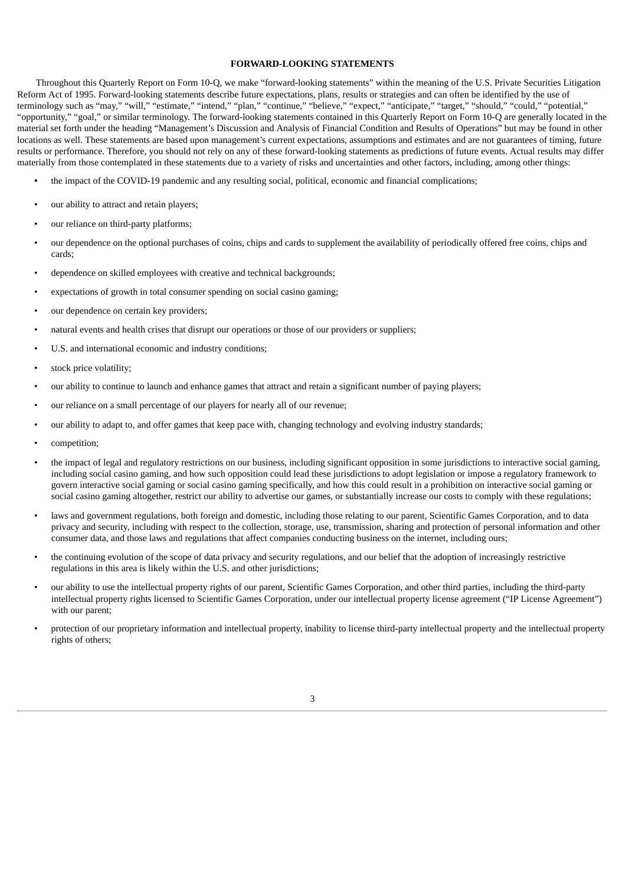#### **FORWARD-LOOKING STATEMENTS**

Throughout this Quarterly Report on Form 10-Q, we make "forward-looking statements" within the meaning of the U.S. Private Securities Litigation Reform Act of 1995. Forward-looking statements describe future expectations, plans, results or strategies and can often be identified by the use of terminology such as "may," "will," "estimate," "intend," "plan," "continue," "believe," "expect," "anticipate," "target," "should," "could," "potential," "opportunity," "goal," or similar terminology. The forward-looking statements contained in this Quarterly Report on Form 10-Q are generally located in the material set forth under the heading "Management's Discussion and Analysis of Financial Condition and Results of Operations" but may be found in other locations as well. These statements are based upon management's current expectations, assumptions and estimates and are not guarantees of timing, future results or performance. Therefore, you should not rely on any of these forward-looking statements as predictions of future events. Actual results may differ materially from those contemplated in these statements due to a variety of risks and uncertainties and other factors, including, among other things:

- the impact of the COVID-19 pandemic and any resulting social, political, economic and financial complications;
- our ability to attract and retain players;
- our reliance on third-party platforms;
- our dependence on the optional purchases of coins, chips and cards to supplement the availability of periodically offered free coins, chips and cards;
- dependence on skilled employees with creative and technical backgrounds;
- expectations of growth in total consumer spending on social casino gaming;
- our dependence on certain key providers;
- natural events and health crises that disrupt our operations or those of our providers or suppliers;
- U.S. and international economic and industry conditions;
- stock price volatility:
- our ability to continue to launch and enhance games that attract and retain a significant number of paying players;
- our reliance on a small percentage of our players for nearly all of our revenue;
- our ability to adapt to, and offer games that keep pace with, changing technology and evolving industry standards;
- competition;
- the impact of legal and regulatory restrictions on our business, including significant opposition in some jurisdictions to interactive social gaming, including social casino gaming, and how such opposition could lead these jurisdictions to adopt legislation or impose a regulatory framework to govern interactive social gaming or social casino gaming specifically, and how this could result in a prohibition on interactive social gaming or social casino gaming altogether, restrict our ability to advertise our games, or substantially increase our costs to comply with these regulations;
- laws and government regulations, both foreign and domestic, including those relating to our parent, Scientific Games Corporation, and to data privacy and security, including with respect to the collection, storage, use, transmission, sharing and protection of personal information and other consumer data, and those laws and regulations that affect companies conducting business on the internet, including ours;
- the continuing evolution of the scope of data privacy and security regulations, and our belief that the adoption of increasingly restrictive regulations in this area is likely within the U.S. and other jurisdictions;
- our ability to use the intellectual property rights of our parent, Scientific Games Corporation, and other third parties, including the third-party intellectual property rights licensed to Scientific Games Corporation, under our intellectual property license agreement ("IP License Agreement") with our parent;
- protection of our proprietary information and intellectual property, inability to license third-party intellectual property and the intellectual property rights of others;

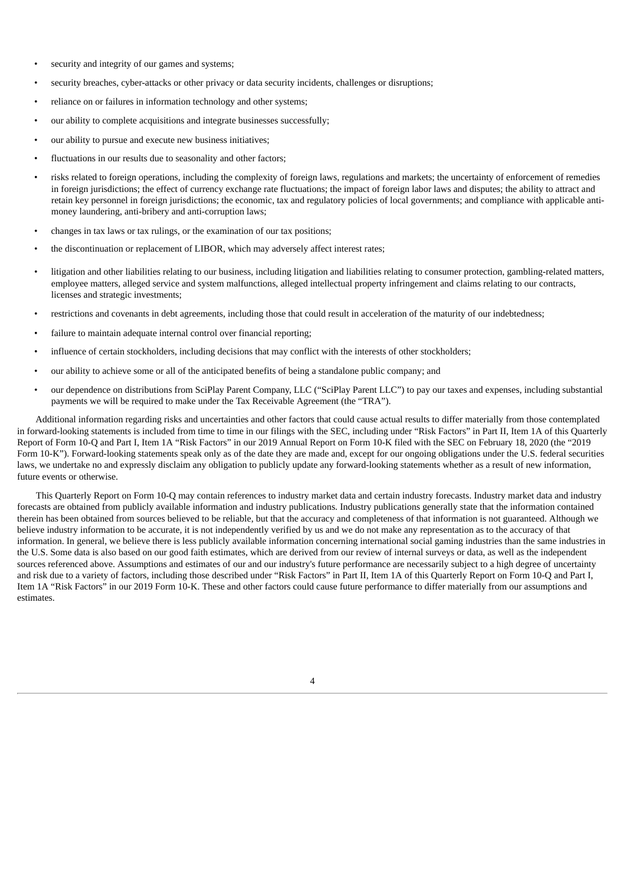- security and integrity of our games and systems;
- security breaches, cyber-attacks or other privacy or data security incidents, challenges or disruptions;
- reliance on or failures in information technology and other systems;
- our ability to complete acquisitions and integrate businesses successfully;
- our ability to pursue and execute new business initiatives;
- fluctuations in our results due to seasonality and other factors;
- risks related to foreign operations, including the complexity of foreign laws, regulations and markets; the uncertainty of enforcement of remedies in foreign jurisdictions; the effect of currency exchange rate fluctuations; the impact of foreign labor laws and disputes; the ability to attract and retain key personnel in foreign jurisdictions; the economic, tax and regulatory policies of local governments; and compliance with applicable antimoney laundering, anti-bribery and anti-corruption laws;
- changes in tax laws or tax rulings, or the examination of our tax positions;
- the discontinuation or replacement of LIBOR, which may adversely affect interest rates;
- litigation and other liabilities relating to our business, including litigation and liabilities relating to consumer protection, gambling-related matters, employee matters, alleged service and system malfunctions, alleged intellectual property infringement and claims relating to our contracts, licenses and strategic investments;
- restrictions and covenants in debt agreements, including those that could result in acceleration of the maturity of our indebtedness;
- failure to maintain adequate internal control over financial reporting;
- influence of certain stockholders, including decisions that may conflict with the interests of other stockholders;
- our ability to achieve some or all of the anticipated benefits of being a standalone public company; and
- our dependence on distributions from SciPlay Parent Company, LLC ("SciPlay Parent LLC") to pay our taxes and expenses, including substantial payments we will be required to make under the Tax Receivable Agreement (the "TRA").

Additional information regarding risks and uncertainties and other factors that could cause actual results to differ materially from those contemplated in forward-looking statements is included from time to time in our filings with the SEC, including under "Risk Factors" in Part II, Item 1A of this Quarterly Report of Form 10-Q and Part I, Item 1A "Risk Factors" in our 2019 Annual Report on Form 10-K filed with the SEC on February 18, 2020 (the "2019 Form 10-K"). Forward-looking statements speak only as of the date they are made and, except for our ongoing obligations under the U.S. federal securities laws, we undertake no and expressly disclaim any obligation to publicly update any forward-looking statements whether as a result of new information, future events or otherwise.

<span id="page-3-0"></span>This Quarterly Report on Form 10-Q may contain references to industry market data and certain industry forecasts. Industry market data and industry forecasts are obtained from publicly available information and industry publications. Industry publications generally state that the information contained therein has been obtained from sources believed to be reliable, but that the accuracy and completeness of that information is not guaranteed. Although we believe industry information to be accurate, it is not independently verified by us and we do not make any representation as to the accuracy of that information. In general, we believe there is less publicly available information concerning international social gaming industries than the same industries in the U.S. Some data is also based on our good faith estimates, which are derived from our review of internal surveys or data, as well as the independent sources referenced above. Assumptions and estimates of our and our industry's future performance are necessarily subject to a high degree of uncertainty and risk due to a variety of factors, including those described under "Risk Factors" in Part II, Item 1A of this Quarterly Report on Form 10-Q and Part I, Item 1A "Risk Factors" in our 2019 Form 10-K. These and other factors could cause future performance to differ materially from our assumptions and estimates.

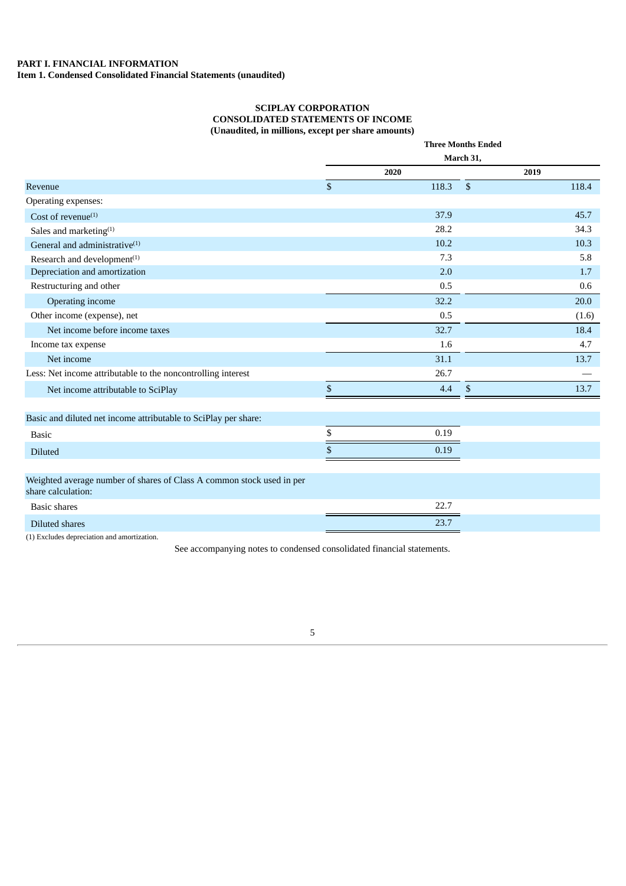# **SCIPLAY CORPORATION CONSOLIDATED STATEMENTS OF INCOME (Unaudited, in millions, except per share amounts)**

<span id="page-4-1"></span><span id="page-4-0"></span>

|                                                                                             | <b>Three Months Ended</b> |       |              |       |  |  |  |  |  |  |
|---------------------------------------------------------------------------------------------|---------------------------|-------|--------------|-------|--|--|--|--|--|--|
|                                                                                             |                           |       | March 31,    |       |  |  |  |  |  |  |
|                                                                                             |                           | 2020  |              | 2019  |  |  |  |  |  |  |
| Revenue                                                                                     | \$                        | 118.3 | $\mathbb{S}$ | 118.4 |  |  |  |  |  |  |
| Operating expenses:                                                                         |                           |       |              |       |  |  |  |  |  |  |
| Cost of revenue $(1)$                                                                       |                           | 37.9  |              | 45.7  |  |  |  |  |  |  |
| Sales and marketing <sup>(1)</sup>                                                          |                           | 28.2  |              | 34.3  |  |  |  |  |  |  |
| General and administrative <sup>(1)</sup>                                                   |                           | 10.2  |              | 10.3  |  |  |  |  |  |  |
| Research and development <sup>(1)</sup>                                                     |                           | 7.3   |              | 5.8   |  |  |  |  |  |  |
| Depreciation and amortization                                                               |                           | 2.0   |              | 1.7   |  |  |  |  |  |  |
| Restructuring and other                                                                     |                           | 0.5   |              | 0.6   |  |  |  |  |  |  |
| Operating income                                                                            |                           | 32.2  |              | 20.0  |  |  |  |  |  |  |
| Other income (expense), net                                                                 |                           | 0.5   |              | (1.6) |  |  |  |  |  |  |
| Net income before income taxes                                                              |                           | 32.7  |              | 18.4  |  |  |  |  |  |  |
| Income tax expense                                                                          |                           | 1.6   |              | 4.7   |  |  |  |  |  |  |
| Net income                                                                                  |                           | 31.1  |              | 13.7  |  |  |  |  |  |  |
| Less: Net income attributable to the noncontrolling interest                                |                           | 26.7  |              |       |  |  |  |  |  |  |
| Net income attributable to SciPlay                                                          | \$                        | 4.4   | $\mathbb{S}$ | 13.7  |  |  |  |  |  |  |
| Basic and diluted net income attributable to SciPlay per share:                             |                           |       |              |       |  |  |  |  |  |  |
| <b>Basic</b>                                                                                | \$                        | 0.19  |              |       |  |  |  |  |  |  |
| <b>Diluted</b>                                                                              | \$                        | 0.19  |              |       |  |  |  |  |  |  |
| Weighted average number of shares of Class A common stock used in per<br>share calculation: |                           |       |              |       |  |  |  |  |  |  |
| <b>Basic shares</b>                                                                         |                           | 22.7  |              |       |  |  |  |  |  |  |
| <b>Diluted shares</b>                                                                       |                           | 23.7  |              |       |  |  |  |  |  |  |
| (1) Excludes depreciation and amortization                                                  |                           |       |              |       |  |  |  |  |  |  |

<span id="page-4-2"></span>(1) Excludes depreciation and amortization.

See accompanying notes to condensed consolidated financial statements.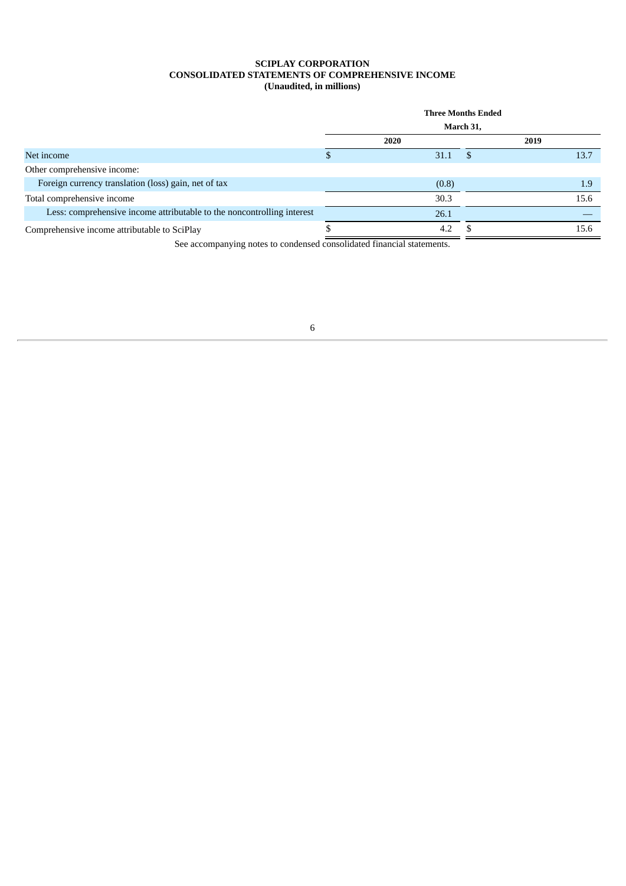# **SCIPLAY CORPORATION CONSOLIDATED STATEMENTS OF COMPREHENSIVE INCOME (Unaudited, in millions)**

|                                                                        | <b>Three Months Ended</b> |           |      |
|------------------------------------------------------------------------|---------------------------|-----------|------|
|                                                                        |                           | March 31, |      |
|                                                                        | 2020                      |           | 2019 |
| Net income                                                             | 31.1                      | - \$      | 13.7 |
| Other comprehensive income:                                            |                           |           |      |
| Foreign currency translation (loss) gain, net of tax                   | (0.8)                     |           | 1.9  |
| Total comprehensive income                                             | 30.3                      |           | 15.6 |
| Less: comprehensive income attributable to the noncontrolling interest | 26.1                      |           |      |
| Comprehensive income attributable to SciPlay                           | 4.2                       |           | 15.6 |
|                                                                        |                           |           |      |

<span id="page-5-0"></span>See accompanying notes to condensed consolidated financial statements.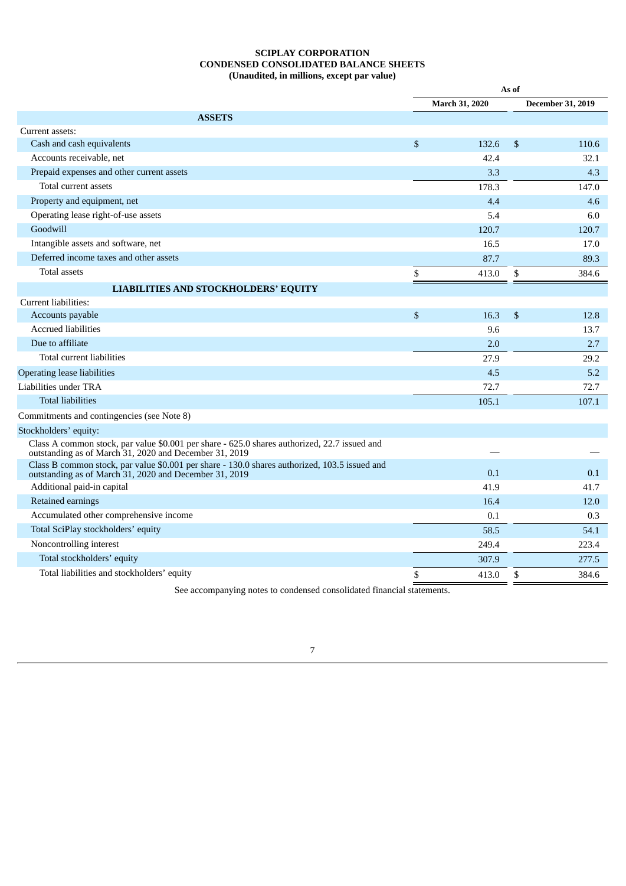# **SCIPLAY CORPORATION CONDENSED CONSOLIDATED BALANCE SHEETS (Unaudited, in millions, except par value)**

|                                                                                                                                                         |                       | As of |                          |  |
|---------------------------------------------------------------------------------------------------------------------------------------------------------|-----------------------|-------|--------------------------|--|
|                                                                                                                                                         | <b>March 31, 2020</b> |       | <b>December 31, 2019</b> |  |
| <b>ASSETS</b>                                                                                                                                           |                       |       |                          |  |
| Current assets:                                                                                                                                         |                       |       |                          |  |
| Cash and cash equivalents                                                                                                                               | \$<br>132.6           | \$    | 110.6                    |  |
| Accounts receivable, net                                                                                                                                | 42.4                  |       | 32.1                     |  |
| Prepaid expenses and other current assets                                                                                                               | 3.3                   |       | 4.3                      |  |
| Total current assets                                                                                                                                    | 178.3                 |       | 147.0                    |  |
| Property and equipment, net                                                                                                                             | 4.4                   |       | 4.6                      |  |
| Operating lease right-of-use assets                                                                                                                     | 5.4                   |       | 6.0                      |  |
| Goodwill                                                                                                                                                | 120.7                 |       | 120.7                    |  |
| Intangible assets and software, net                                                                                                                     | 16.5                  |       | 17.0                     |  |
| Deferred income taxes and other assets                                                                                                                  | 87.7                  |       | 89.3                     |  |
| <b>Total assets</b>                                                                                                                                     | \$<br>413.0           | \$    | 384.6                    |  |
| <b>LIABILITIES AND STOCKHOLDERS' EQUITY</b>                                                                                                             |                       |       |                          |  |
| Current liabilities:                                                                                                                                    |                       |       |                          |  |
| Accounts payable                                                                                                                                        | \$<br>16.3            | \$    | 12.8                     |  |
| Accrued liabilities                                                                                                                                     | 9.6                   |       | 13.7                     |  |
| Due to affiliate                                                                                                                                        | 2.0                   |       | 2.7                      |  |
| Total current liabilities                                                                                                                               | 27.9                  |       | 29.2                     |  |
| <b>Operating lease liabilities</b>                                                                                                                      | 4.5                   |       | 5.2                      |  |
| Liabilities under TRA                                                                                                                                   | 72.7                  |       | 72.7                     |  |
| <b>Total liabilities</b>                                                                                                                                | 105.1                 |       | 107.1                    |  |
| Commitments and contingencies (see Note 8)                                                                                                              |                       |       |                          |  |
| Stockholders' equity:                                                                                                                                   |                       |       |                          |  |
| Class A common stock, par value \$0.001 per share - 625.0 shares authorized, 22.7 issued and<br>outstanding as of March 31, 2020 and December 31, 2019  |                       |       |                          |  |
| Class B common stock, par value \$0.001 per share - 130.0 shares authorized, 103.5 issued and<br>outstanding as of March 31, 2020 and December 31, 2019 | 0.1                   |       | 0.1                      |  |
| Additional paid-in capital                                                                                                                              | 41.9                  |       | 41.7                     |  |
| Retained earnings                                                                                                                                       | 16.4                  |       | 12.0                     |  |
| Accumulated other comprehensive income                                                                                                                  | 0.1                   |       | 0.3                      |  |
| Total SciPlay stockholders' equity                                                                                                                      | 58.5                  |       | 54.1                     |  |
| Noncontrolling interest                                                                                                                                 | 249.4                 |       | 223.4                    |  |
| Total stockholders' equity                                                                                                                              | 307.9                 |       | 277.5                    |  |
| Total liabilities and stockholders' equity                                                                                                              | \$<br>413.0           | \$    | 384.6                    |  |

<span id="page-6-0"></span>See accompanying notes to condensed consolidated financial statements.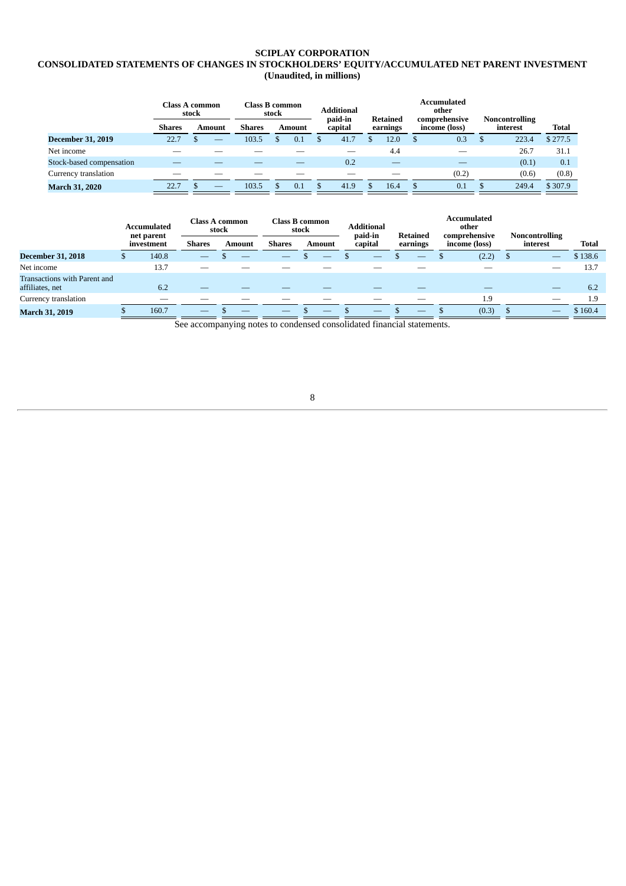# **SCIPLAY CORPORATION CONSOLIDATED STATEMENTS OF CHANGES IN STOCKHOLDERS' EQUITY/ACCUMULATED NET PARENT INVESTMENT (Unaudited, in millions)**

|                          | Class A common<br>stock | Class B common<br>stock |               |  | <b>Additional</b><br>paid-in |  |         | <b>Retained</b> |                          | Accumulated<br>other           | <b>Noncontrolling</b> |          |              |
|--------------------------|-------------------------|-------------------------|---------------|--|------------------------------|--|---------|-----------------|--------------------------|--------------------------------|-----------------------|----------|--------------|
|                          | <b>Shares</b>           | Amount                  | <b>Shares</b> |  | Amount                       |  | capital |                 | earnings                 | comprehensive<br>income (loss) |                       | interest | <b>Total</b> |
| <b>December 31, 2019</b> | 22.7                    | _                       | 103.5         |  | 0.1                          |  | 41.7    |                 | 12.0                     |                                | 0.3                   | 223.4    | \$277.5      |
| Net income               |                         |                         |               |  |                              |  |         |                 | 4.4                      |                                | $\sim$                | 26.7     | 31.1         |
| Stock-based compensation |                         |                         |               |  |                              |  | 0.2     |                 | $\overline{\phantom{a}}$ |                                |                       | (0.1)    | 0.1          |
| Currency translation     |                         |                         |               |  |                              |  |         |                 |                          |                                | (0.2)                 | (0.6)    | (0.8)        |
| <b>March 31, 2020</b>    | 22.7                    |                         | 103.5         |  | 0.1                          |  | 41.9    |                 | 16.4                     |                                | 0.1                   | 249.4    | \$307.9      |

| Accumulated<br>net parent                       |  | <b>Class A common</b><br>stock |                          |  | <b>Class B common</b><br>stock |               |  | <b>Additional</b><br>paid-in |                          |                                              |   | Accumulated<br>other<br>comprehensive |          | <b>Noncontrolling</b> |                          |         |
|-------------------------------------------------|--|--------------------------------|--------------------------|--|--------------------------------|---------------|--|------------------------------|--------------------------|----------------------------------------------|---|---------------------------------------|----------|-----------------------|--------------------------|---------|
|                                                 |  | investment                     | <b>Shares</b>            |  | Amount                         | <b>Shares</b> |  | Amount                       | capital                  | <b>Retained</b><br>income (loss)<br>earnings |   |                                       | interest |                       | Total                    |         |
| <b>December 31, 2018</b>                        |  | 140.8                          | _                        |  |                                |               |  |                              |                          |                                              |   |                                       | (2.2)    | - 5                   | _                        | \$138.6 |
| Net income                                      |  | 13.7                           |                          |  |                                |               |  |                              |                          |                                              |   |                                       |          |                       |                          | 13.7    |
| Transactions with Parent and<br>affiliates, net |  | 6.2                            |                          |  |                                |               |  |                              |                          |                                              |   |                                       |          |                       |                          | 6.2     |
| Currency translation                            |  |                                |                          |  |                                |               |  |                              |                          |                                              |   |                                       | 1.9      |                       | $\overline{\phantom{a}}$ | 1.9     |
| <b>March 31, 2019</b>                           |  | 160.7                          | $\overline{\phantom{a}}$ |  |                                | $-$           |  |                              | $\overline{\phantom{a}}$ |                                              | _ |                                       | (0.3)    |                       | $-$                      | \$160.4 |

<span id="page-7-0"></span>See accompanying notes to condensed consolidated financial statements.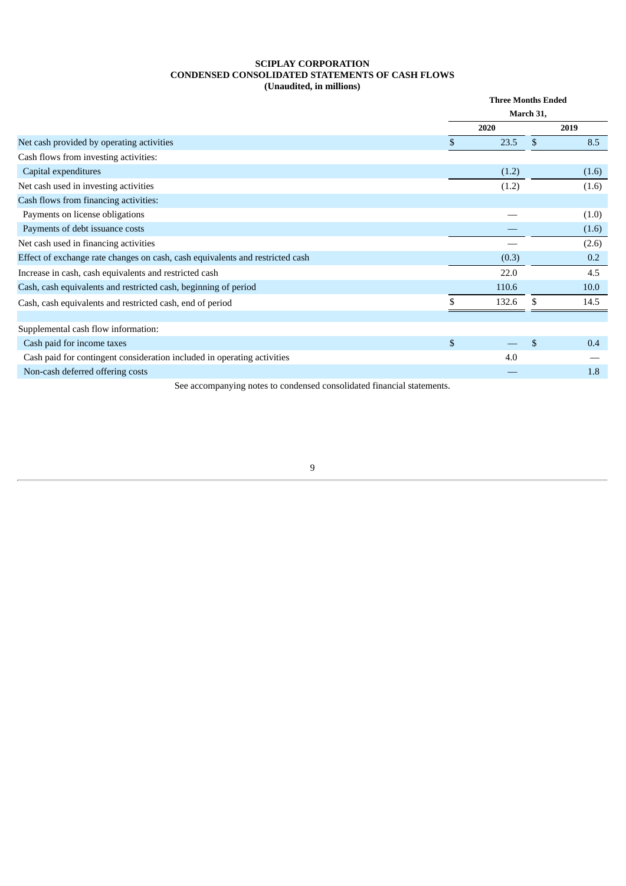# **SCIPLAY CORPORATION CONDENSED CONSOLIDATED STATEMENTS OF CASH FLOWS (Unaudited, in millions)**

|                                                                               | <b>Three Months Ended</b> |                |       |  |  |  |
|-------------------------------------------------------------------------------|---------------------------|----------------|-------|--|--|--|
|                                                                               |                           | March 31,      |       |  |  |  |
|                                                                               | 2020                      |                | 2019  |  |  |  |
| Net cash provided by operating activities                                     | \$<br>23.5                | $\mathbb{S}$   | 8.5   |  |  |  |
| Cash flows from investing activities:                                         |                           |                |       |  |  |  |
| Capital expenditures                                                          | (1.2)                     |                | (1.6) |  |  |  |
| Net cash used in investing activities                                         | (1.2)                     |                | (1.6) |  |  |  |
| Cash flows from financing activities:                                         |                           |                |       |  |  |  |
| Payments on license obligations                                               |                           |                | (1.0) |  |  |  |
| Payments of debt issuance costs                                               |                           |                | (1.6) |  |  |  |
| Net cash used in financing activities                                         |                           |                | (2.6) |  |  |  |
| Effect of exchange rate changes on cash, cash equivalents and restricted cash | (0.3)                     |                | 0.2   |  |  |  |
| Increase in cash, cash equivalents and restricted cash                        | 22.0                      |                | 4.5   |  |  |  |
| Cash, cash equivalents and restricted cash, beginning of period               | 110.6                     |                | 10.0  |  |  |  |
| Cash, cash equivalents and restricted cash, end of period                     | 132.6                     | \$             | 14.5  |  |  |  |
|                                                                               |                           |                |       |  |  |  |
| Supplemental cash flow information:                                           |                           |                |       |  |  |  |
| Cash paid for income taxes                                                    | \$                        | $\mathfrak{s}$ | 0.4   |  |  |  |
| Cash paid for contingent consideration included in operating activities       | 4.0                       |                |       |  |  |  |
| Non-cash deferred offering costs                                              |                           |                | 1.8   |  |  |  |
| Car received and a greater to readment reach detail flammed at the cate       |                           |                |       |  |  |  |

<span id="page-8-0"></span>See accompanying notes to condensed consolidated financial statements.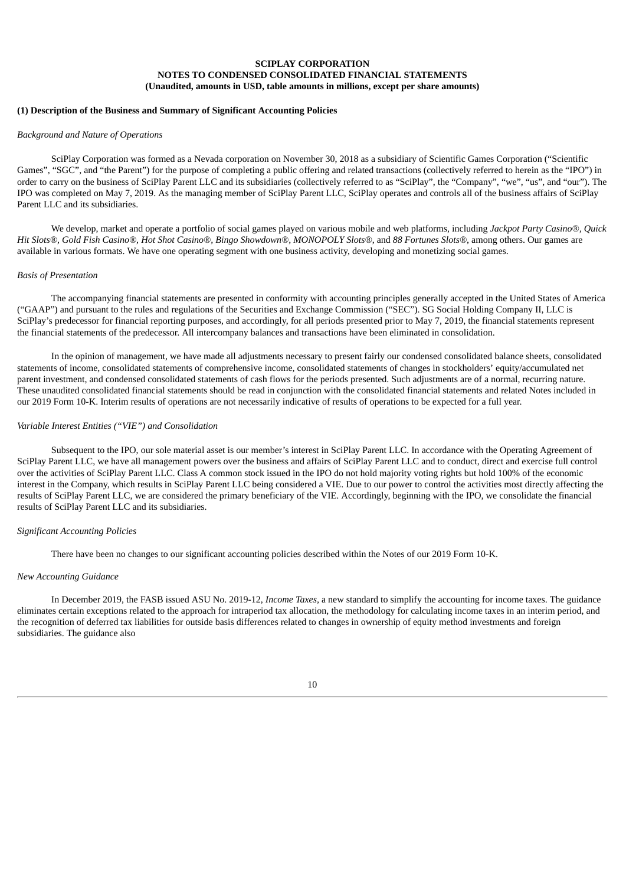# **SCIPLAY CORPORATION NOTES TO CONDENSED CONSOLIDATED FINANCIAL STATEMENTS (Unaudited, amounts in USD, table amounts in millions, except per share amounts)**

# **(1) Description of the Business and Summary of Significant Accounting Policies**

#### *Background and Nature of Operations*

SciPlay Corporation was formed as a Nevada corporation on November 30, 2018 as a subsidiary of Scientific Games Corporation ("Scientific Games", "SGC", and "the Parent") for the purpose of completing a public offering and related transactions (collectively referred to herein as the "IPO") in order to carry on the business of SciPlay Parent LLC and its subsidiaries (collectively referred to as "SciPlay", the "Company", "we", "us", and "our"). The IPO was completed on May 7, 2019. As the managing member of SciPlay Parent LLC, SciPlay operates and controls all of the business affairs of SciPlay Parent LLC and its subsidiaries.

We develop, market and operate a portfolio of social games played on various mobile and web platforms, including *Jackpot Party Casino®, Quick* Hit Slots®, Gold Fish Casino®, Hot Shot Casino®, Bingo Showdown®, MONOPOLY Slots®, and 88 Fortunes Slots®, among others. Our games are available in various formats. We have one operating segment with one business activity, developing and monetizing social games.

#### *Basis of Presentation*

The accompanying financial statements are presented in conformity with accounting principles generally accepted in the United States of America ("GAAP") and pursuant to the rules and regulations of the Securities and Exchange Commission ("SEC"). SG Social Holding Company II, LLC is SciPlay's predecessor for financial reporting purposes, and accordingly, for all periods presented prior to May 7, 2019, the financial statements represent the financial statements of the predecessor. All intercompany balances and transactions have been eliminated in consolidation.

In the opinion of management, we have made all adjustments necessary to present fairly our condensed consolidated balance sheets, consolidated statements of income, consolidated statements of comprehensive income, consolidated statements of changes in stockholders' equity/accumulated net parent investment, and condensed consolidated statements of cash flows for the periods presented. Such adjustments are of a normal, recurring nature. These unaudited consolidated financial statements should be read in conjunction with the consolidated financial statements and related Notes included in our 2019 Form 10-K. Interim results of operations are not necessarily indicative of results of operations to be expected for a full year.

### *Variable Interest Entities ("VIE") and Consolidation*

Subsequent to the IPO, our sole material asset is our member's interest in SciPlay Parent LLC. In accordance with the Operating Agreement of SciPlay Parent LLC, we have all management powers over the business and affairs of SciPlay Parent LLC and to conduct, direct and exercise full control over the activities of SciPlay Parent LLC. Class A common stock issued in the IPO do not hold majority voting rights but hold 100% of the economic interest in the Company, which results in SciPlay Parent LLC being considered a VIE. Due to our power to control the activities most directly affecting the results of SciPlay Parent LLC, we are considered the primary beneficiary of the VIE. Accordingly, beginning with the IPO, we consolidate the financial results of SciPlay Parent LLC and its subsidiaries.

#### *Significant Accounting Policies*

There have been no changes to our significant accounting policies described within the Notes of our 2019 Form 10-K.

### *New Accounting Guidance*

In December 2019, the FASB issued ASU No. 2019-12, *Income Taxes,* a new standard to simplify the accounting for income taxes. The guidance eliminates certain exceptions related to the approach for intraperiod tax allocation, the methodology for calculating income taxes in an interim period, and the recognition of deferred tax liabilities for outside basis differences related to changes in ownership of equity method investments and foreign subsidiaries. The guidance also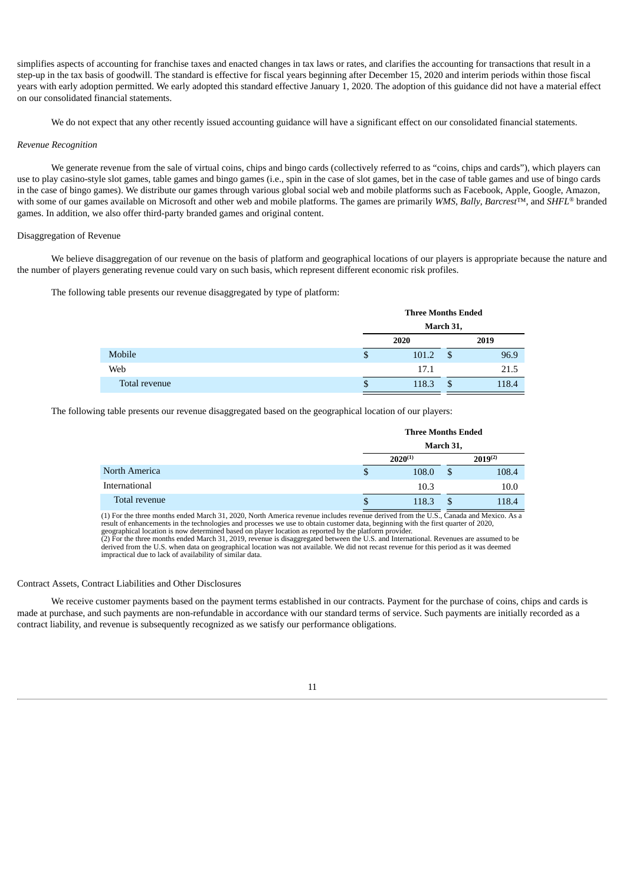simplifies aspects of accounting for franchise taxes and enacted changes in tax laws or rates, and clarifies the accounting for transactions that result in a step-up in the tax basis of goodwill. The standard is effective for fiscal years beginning after December 15, 2020 and interim periods within those fiscal years with early adoption permitted. We early adopted this standard effective January 1, 2020. The adoption of this guidance did not have a material effect on our consolidated financial statements.

We do not expect that any other recently issued accounting guidance will have a significant effect on our consolidated financial statements.

#### *Revenue Recognition*

We generate revenue from the sale of virtual coins, chips and bingo cards (collectively referred to as "coins, chips and cards"), which players can use to play casino-style slot games, table games and bingo games (i.e., spin in the case of slot games, bet in the case of table games and use of bingo cards in the case of bingo games). We distribute our games through various global social web and mobile platforms such as Facebook, Apple, Google, Amazon, with some of our games available on Microsoft and other web and mobile platforms. The games are primarily *WMS*, *Bally*, *Barcrest*™, and *SHFL* ® branded games. In addition, we also offer third-party branded games and original content.

#### Disaggregation of Revenue

We believe disaggregation of our revenue on the basis of platform and geographical locations of our players is appropriate because the nature and the number of players generating revenue could vary on such basis, which represent different economic risk profiles.

The following table presents our revenue disaggregated by type of platform:

|               |    | <b>Three Months Ended</b> |    |       |  |  |  |  |  |
|---------------|----|---------------------------|----|-------|--|--|--|--|--|
|               |    | March 31,                 |    |       |  |  |  |  |  |
|               |    | 2020                      |    | 2019  |  |  |  |  |  |
| Mobile        | \$ | 101.2                     | \$ | 96.9  |  |  |  |  |  |
| Web           |    | 17.1                      |    | 21.5  |  |  |  |  |  |
| Total revenue | S  | 118.3                     | \$ | 118.4 |  |  |  |  |  |

The following table presents our revenue disaggregated based on the geographical location of our players:

|               | <b>Three Months Ended</b> |       |    |              |  |  |  |  |  |
|---------------|---------------------------|-------|----|--------------|--|--|--|--|--|
|               | March 31,                 |       |    |              |  |  |  |  |  |
|               | $2020^{(1)}$              |       |    | $2019^{(2)}$ |  |  |  |  |  |
| North America |                           | 108.0 | \$ | 108.4        |  |  |  |  |  |
| International |                           | 10.3  |    | 10.0         |  |  |  |  |  |
| Total revenue |                           | 118.3 | \$ | 118.4        |  |  |  |  |  |
|               |                           |       |    |              |  |  |  |  |  |

(1) For the three months ended March 31, 2020, North America revenue includes revenue derived from the U.S., Canada and Mexico. As a result of enhancements in the technologies and processes we use to obtain customer data, beginning with the first quarter of 2020, geographical location is now determined based on player location as reported by the platform provider.

(2) For the three months ended March 31, 2019, revenue is disaggregated between the U.S. and International. Revenues are assumed to be derived from the U.S. when data on geographical location was not available. We did not recast revenue for this period as it was deemed impractical due to lack of availability of similar data.

#### Contract Assets, Contract Liabilities and Other Disclosures

We receive customer payments based on the payment terms established in our contracts. Payment for the purchase of coins, chips and cards is made at purchase, and such payments are non-refundable in accordance with our standard terms of service. Such payments are initially recorded as a contract liability, and revenue is subsequently recognized as we satisfy our performance obligations.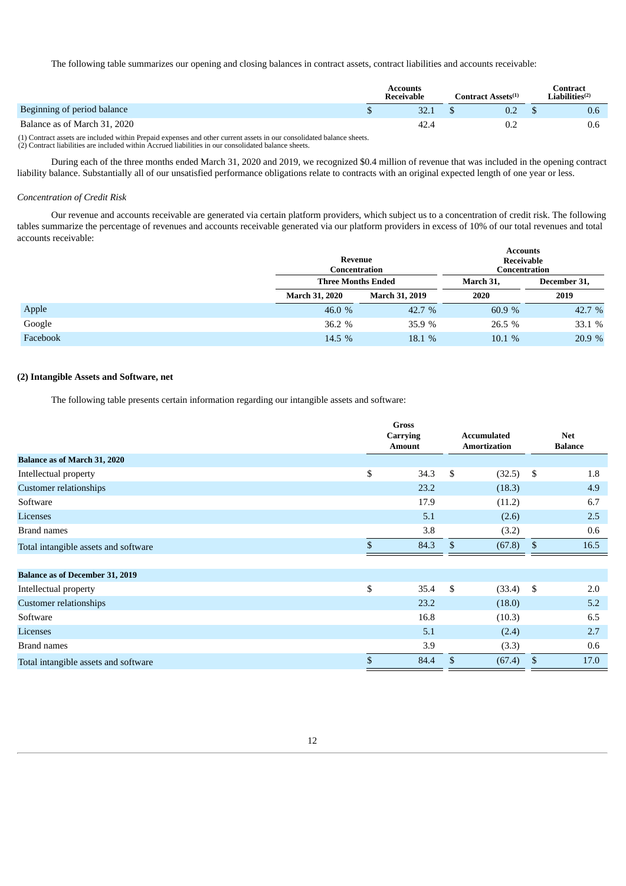The following table summarizes our opening and closing balances in contract assets, contract liabilities and accounts receivable:

|                              | <b>Accounts</b><br>Receivable | Contract Assets <sup>(1)</sup> | Contract<br>Liabilities $(2)$ |
|------------------------------|-------------------------------|--------------------------------|-------------------------------|
| Beginning of period balance  | 32.1                          | 0.2                            | 0.6                           |
| Balance as of March 31, 2020 |                               | 0.2                            | 0.6                           |
|                              |                               |                                |                               |

(1) Contract assets are included within Prepaid expenses and other current assets in our consolidated balance sheets. (2) Contract liabilities are included within Accrued liabilities in our consolidated balance sheets.

During each of the three months ended March 31, 2020 and 2019, we recognized \$0.4 million of revenue that was included in the opening contract liability balance. Substantially all of our unsatisfied performance obligations relate to contracts with an original expected length of one year or less.

#### *Concentration of Credit Risk*

Our revenue and accounts receivable are generated via certain platform providers, which subject us to a concentration of credit risk. The following tables summarize the percentage of revenues and accounts receivable generated via our platform providers in excess of 10% of our total revenues and total accounts receivable:

|          | Revenue<br>Concentration  |                       | <b>Accounts</b><br>Receivable<br>Concentration |              |
|----------|---------------------------|-----------------------|------------------------------------------------|--------------|
|          | <b>Three Months Ended</b> |                       | March 31,                                      | December 31, |
|          | <b>March 31, 2020</b>     | <b>March 31, 2019</b> | 2020                                           | 2019         |
| Apple    | 46.0 %                    | 42.7 %                | 60.9 %                                         | 42.7 %       |
| Google   | 36.2 %                    | 35.9%                 | 26.5 %                                         | 33.1 %       |
| Facebook | 14.5 %                    | 18.1 %                | 10.1 %                                         | 20.9 %       |

# **(2) Intangible Assets and Software, net**

The following table presents certain information regarding our intangible assets and software:

|                                        |                | <b>Gross</b><br><b>Carrying</b><br><b>Amount</b> | <b>Accumulated</b><br><b>Amortization</b> |        |                | <b>Net</b><br><b>Balance</b> |
|----------------------------------------|----------------|--------------------------------------------------|-------------------------------------------|--------|----------------|------------------------------|
| <b>Balance as of March 31, 2020</b>    |                |                                                  |                                           |        |                |                              |
| Intellectual property                  | \$             | 34.3                                             | \$                                        | (32.5) | \$             | 1.8                          |
| <b>Customer relationships</b>          |                | 23.2                                             |                                           | (18.3) |                | 4.9                          |
| Software                               |                | 17.9                                             |                                           | (11.2) |                | 6.7                          |
| Licenses                               |                | 5.1                                              |                                           | (2.6)  |                | 2.5                          |
| Brand names                            |                | 3.8                                              |                                           | (3.2)  |                | 0.6                          |
| Total intangible assets and software   | $\mathfrak{L}$ | 84.3                                             | $\mathcal{S}$                             | (67.8) | $\mathfrak{L}$ | 16.5                         |
| <b>Balance as of December 31, 2019</b> |                |                                                  |                                           |        |                |                              |
| Intellectual property                  | \$             | 35.4                                             | \$                                        | (33.4) | \$             | 2.0                          |
| <b>Customer relationships</b>          |                | 23.2                                             |                                           | (18.0) |                | 5.2                          |
| Software                               |                | 16.8                                             |                                           | (10.3) |                | 6.5                          |
| Licenses                               |                | 5.1                                              |                                           | (2.4)  |                | 2.7                          |
| Brand names                            |                | 3.9                                              |                                           | (3.3)  |                | 0.6                          |
| Total intangible assets and software   | \$             | 84.4                                             | \$                                        | (67.4) | \$             | 17.0                         |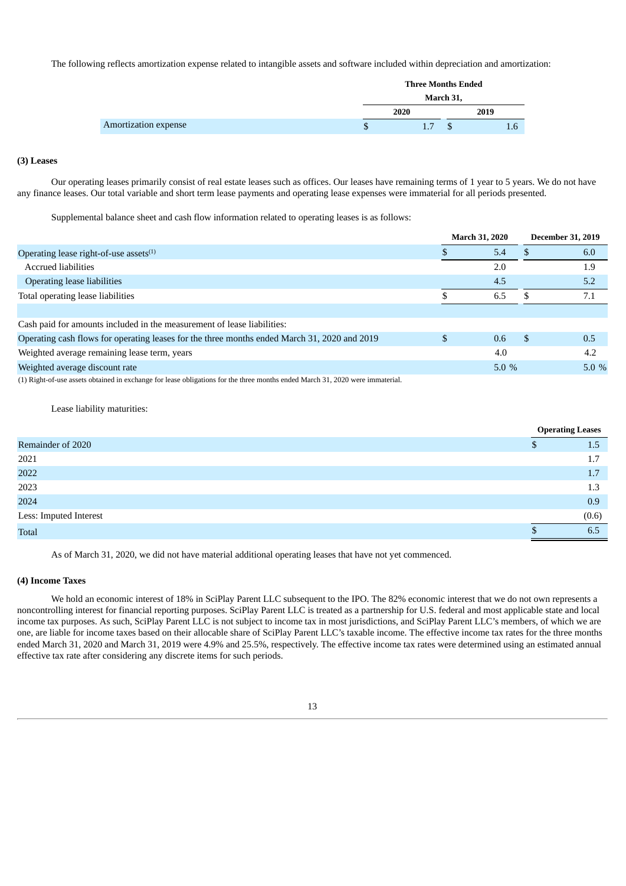The following reflects amortization expense related to intangible assets and software included within depreciation and amortization:

| <b>Three Months Ended</b> |      |      |  |
|---------------------------|------|------|--|
| March 31,                 |      |      |  |
|                           |      | 2019 |  |
| 1.7                       | S    |      |  |
|                           | 2020 |      |  |

# **(3) Leases**

Our operating leases primarily consist of real estate leases such as offices. Our leases have remaining terms of 1 year to 5 years. We do not have any finance leases. Our total variable and short term lease payments and operating lease expenses were immaterial for all periods presented.

Supplemental balance sheet and cash flow information related to operating leases is as follows:

|                                                                                                                              |     | <b>March 31, 2020</b> |     | <b>December 31, 2019</b> |
|------------------------------------------------------------------------------------------------------------------------------|-----|-----------------------|-----|--------------------------|
| Operating lease right-of-use assets $(1)$                                                                                    |     | 5.4                   |     | 6.0                      |
| Accrued liabilities                                                                                                          |     | 2.0                   |     | 1.9                      |
| <b>Operating lease liabilities</b>                                                                                           |     | 4.5                   |     | 5.2                      |
| Total operating lease liabilities                                                                                            |     | 6.5                   |     | 7.1                      |
|                                                                                                                              |     |                       |     |                          |
| Cash paid for amounts included in the measurement of lease liabilities:                                                      |     |                       |     |                          |
| Operating cash flows for operating leases for the three months ended March 31, 2020 and 2019                                 | \$. | 0.6                   | \$. | 0.5                      |
| Weighted average remaining lease term, years                                                                                 |     | 4.0                   |     | 4.2                      |
| Weighted average discount rate                                                                                               |     | 5.0%                  |     | 5.0%                     |
| (1) Dight of use assets obtained in exchange for lasse obligations for the three months anded March 21, 2020 very immeterial |     |                       |     |                          |

(1) Right-of-use assets obtained in exchange for lease obligations for the three months ended March 31, 2020 were immaterial.

Lease liability maturities:

|                        | <b>Operating Leases</b> |       |
|------------------------|-------------------------|-------|
| Remainder of 2020      | Φ                       | 1.5   |
| 2021                   |                         | 1.7   |
| 2022                   |                         | 1.7   |
| 2023                   |                         | 1.3   |
| 2024                   |                         | 0.9   |
| Less: Imputed Interest |                         | (0.6) |
| <b>Total</b>           |                         | 6.5   |

As of March 31, 2020, we did not have material additional operating leases that have not yet commenced.

### **(4) Income Taxes**

We hold an economic interest of 18% in SciPlay Parent LLC subsequent to the IPO. The 82% economic interest that we do not own represents a noncontrolling interest for financial reporting purposes. SciPlay Parent LLC is treated as a partnership for U.S. federal and most applicable state and local income tax purposes. As such, SciPlay Parent LLC is not subject to income tax in most jurisdictions, and SciPlay Parent LLC's members, of which we are one, are liable for income taxes based on their allocable share of SciPlay Parent LLC's taxable income. The effective income tax rates for the three months ended March 31, 2020 and March 31, 2019 were 4.9% and 25.5%, respectively. The effective income tax rates were determined using an estimated annual effective tax rate after considering any discrete items for such periods.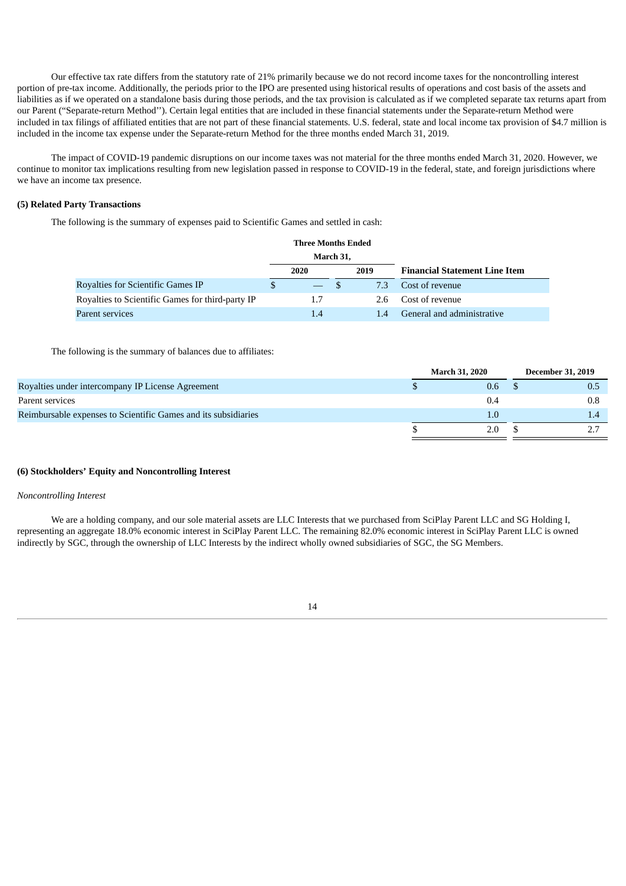Our effective tax rate differs from the statutory rate of 21% primarily because we do not record income taxes for the noncontrolling interest portion of pre-tax income. Additionally, the periods prior to the IPO are presented using historical results of operations and cost basis of the assets and liabilities as if we operated on a standalone basis during those periods, and the tax provision is calculated as if we completed separate tax returns apart from our Parent ("Separate-return Method''). Certain legal entities that are included in these financial statements under the Separate-return Method were included in tax filings of affiliated entities that are not part of these financial statements. U.S. federal, state and local income tax provision of \$4.7 million is included in the income tax expense under the Separate-return Method for the three months ended March 31, 2019.

The impact of COVID-19 pandemic disruptions on our income taxes was not material for the three months ended March 31, 2020. However, we continue to monitor tax implications resulting from new legislation passed in response to COVID-19 in the federal, state, and foreign jurisdictions where we have an income tax presence.

### **(5) Related Party Transactions**

The following is the summary of expenses paid to Scientific Games and settled in cash:

|                                                  | <b>Three Months Ended</b> |        |  |      |                                      |
|--------------------------------------------------|---------------------------|--------|--|------|--------------------------------------|
|                                                  | March 31,                 |        |  |      |                                      |
|                                                  |                           | 2020   |  | 2019 | <b>Financial Statement Line Item</b> |
| Royalties for Scientific Games IP                |                           | $-$ \$ |  | 7.3  | Cost of revenue                      |
| Royalties to Scientific Games for third-party IP |                           | 1.7    |  | 2.6  | Cost of revenue                      |
| Parent services                                  |                           | 1.4    |  | 14   | General and administrative           |

The following is the summary of balances due to affiliates:

|                                                                | <b>March 31, 2020</b> |     | <b>December 31, 2019</b> |
|----------------------------------------------------------------|-----------------------|-----|--------------------------|
| Royalties under intercompany IP License Agreement              |                       | 0.6 |                          |
| Parent services                                                |                       | 0.4 | 0.8                      |
| Reimbursable expenses to Scientific Games and its subsidiaries |                       | 1.0 |                          |
|                                                                |                       | 2.0 |                          |

### **(6) Stockholders' Equity and Noncontrolling Interest**

#### *Noncontrolling Interest*

We are a holding company, and our sole material assets are LLC Interests that we purchased from SciPlay Parent LLC and SG Holding I, representing an aggregate 18.0% economic interest in SciPlay Parent LLC. The remaining 82.0% economic interest in SciPlay Parent LLC is owned indirectly by SGC, through the ownership of LLC Interests by the indirect wholly owned subsidiaries of SGC, the SG Members.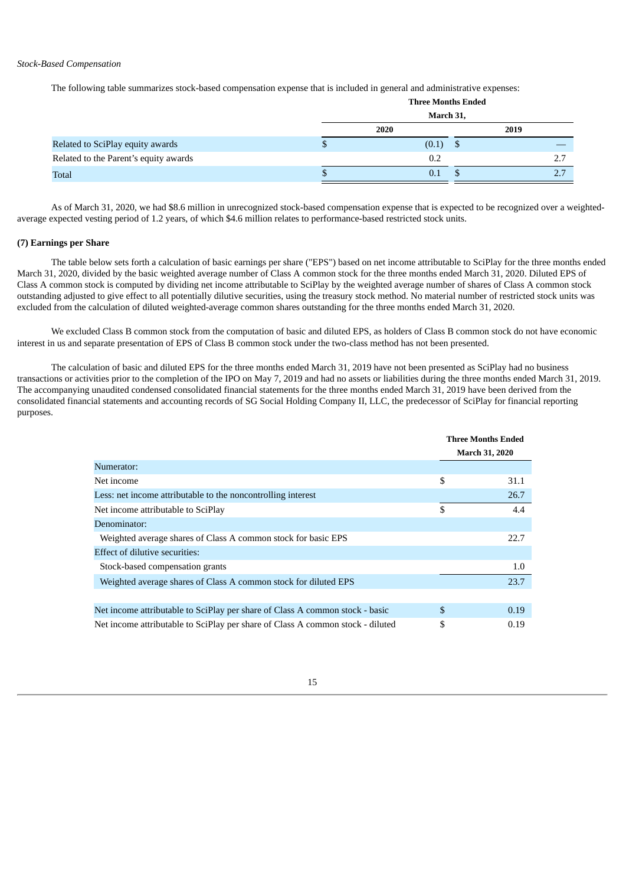#### *Stock-Based Compensation*

The following table summarizes stock-based compensation expense that is included in general and administrative expenses:

|                                       | <b>Three Months Ended</b> |            |   |      |  |  |
|---------------------------------------|---------------------------|------------|---|------|--|--|
|                                       | March 31,                 |            |   |      |  |  |
|                                       | 2020                      |            |   | 2019 |  |  |
| Related to SciPlay equity awards      | Œ                         | $(0.1)$ \$ |   |      |  |  |
| Related to the Parent's equity awards |                           | 0.2        |   |      |  |  |
| Total                                 |                           | 0.1        | S |      |  |  |

As of March 31, 2020, we had \$8.6 million in unrecognized stock-based compensation expense that is expected to be recognized over a weightedaverage expected vesting period of 1.2 years, of which \$4.6 million relates to performance-based restricted stock units.

# **(7) Earnings per Share**

The table below sets forth a calculation of basic earnings per share ("EPS") based on net income attributable to SciPlay for the three months ended March 31, 2020, divided by the basic weighted average number of Class A common stock for the three months ended March 31, 2020. Diluted EPS of Class A common stock is computed by dividing net income attributable to SciPlay by the weighted average number of shares of Class A common stock outstanding adjusted to give effect to all potentially dilutive securities, using the treasury stock method. No material number of restricted stock units was excluded from the calculation of diluted weighted-average common shares outstanding for the three months ended March 31, 2020.

We excluded Class B common stock from the computation of basic and diluted EPS, as holders of Class B common stock do not have economic interest in us and separate presentation of EPS of Class B common stock under the two-class method has not been presented.

The calculation of basic and diluted EPS for the three months ended March 31, 2019 have not been presented as SciPlay had no business transactions or activities prior to the completion of the IPO on May 7, 2019 and had no assets or liabilities during the three months ended March 31, 2019. The accompanying unaudited condensed consolidated financial statements for the three months ended March 31, 2019 have been derived from the consolidated financial statements and accounting records of SG Social Holding Company II, LLC, the predecessor of SciPlay for financial reporting purposes.

|                                                                                | <b>Three Months Ended</b> |
|--------------------------------------------------------------------------------|---------------------------|
|                                                                                | March 31, 2020            |
| Numerator:                                                                     |                           |
| Net income                                                                     | \$<br>31.1                |
| Less: net income attributable to the noncontrolling interest                   | 26.7                      |
| Net income attributable to SciPlay                                             | \$<br>4.4                 |
| Denominator:                                                                   |                           |
| Weighted average shares of Class A common stock for basic EPS                  | 22.7                      |
| Effect of dilutive securities:                                                 |                           |
| Stock-based compensation grants                                                | 1.0                       |
| Weighted average shares of Class A common stock for diluted EPS                | 23.7                      |
|                                                                                |                           |
| Net income attributable to SciPlay per share of Class A common stock - basic   | \$<br>0.19                |
| Net income attributable to SciPlay per share of Class A common stock - diluted | \$<br>0.19                |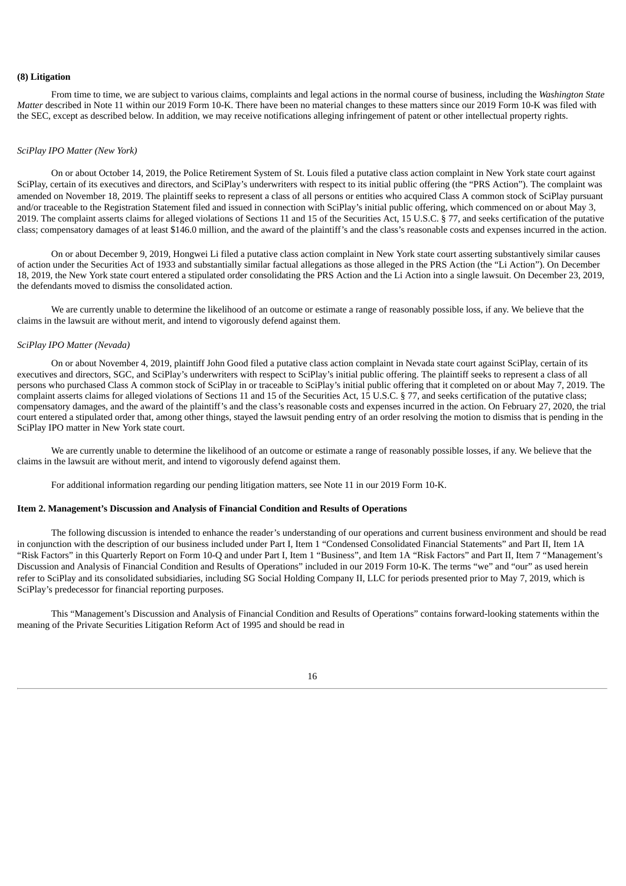### **(8) Litigation**

From time to time, we are subject to various claims, complaints and legal actions in the normal course of business, including the *Washington State Matter* described in Note 11 within our 2019 Form 10-K. There have been no material changes to these matters since our 2019 Form 10-K was filed with the SEC, except as described below. In addition, we may receive notifications alleging infringement of patent or other intellectual property rights.

#### *SciPlay IPO Matter (New York)*

On or about October 14, 2019, the Police Retirement System of St. Louis filed a putative class action complaint in New York state court against SciPlay, certain of its executives and directors, and SciPlay's underwriters with respect to its initial public offering (the "PRS Action"). The complaint was amended on November 18, 2019. The plaintiff seeks to represent a class of all persons or entities who acquired Class A common stock of SciPlay pursuant and/or traceable to the Registration Statement filed and issued in connection with SciPlay's initial public offering, which commenced on or about May 3, 2019. The complaint asserts claims for alleged violations of Sections 11 and 15 of the Securities Act, 15 U.S.C. § 77, and seeks certification of the putative class; compensatory damages of at least \$146.0 million, and the award of the plaintiff's and the class's reasonable costs and expenses incurred in the action.

On or about December 9, 2019, Hongwei Li filed a putative class action complaint in New York state court asserting substantively similar causes of action under the Securities Act of 1933 and substantially similar factual allegations as those alleged in the PRS Action (the "Li Action"). On December 18, 2019, the New York state court entered a stipulated order consolidating the PRS Action and the Li Action into a single lawsuit. On December 23, 2019, the defendants moved to dismiss the consolidated action.

We are currently unable to determine the likelihood of an outcome or estimate a range of reasonably possible loss, if any. We believe that the claims in the lawsuit are without merit, and intend to vigorously defend against them.

#### *SciPlay IPO Matter (Nevada)*

On or about November 4, 2019, plaintiff John Good filed a putative class action complaint in Nevada state court against SciPlay, certain of its executives and directors, SGC, and SciPlay's underwriters with respect to SciPlay's initial public offering. The plaintiff seeks to represent a class of all persons who purchased Class A common stock of SciPlay in or traceable to SciPlay's initial public offering that it completed on or about May 7, 2019. The complaint asserts claims for alleged violations of Sections 11 and 15 of the Securities Act, 15 U.S.C. § 77, and seeks certification of the putative class; compensatory damages, and the award of the plaintiff's and the class's reasonable costs and expenses incurred in the action. On February 27, 2020, the trial court entered a stipulated order that, among other things, stayed the lawsuit pending entry of an order resolving the motion to dismiss that is pending in the SciPlay IPO matter in New York state court.

We are currently unable to determine the likelihood of an outcome or estimate a range of reasonably possible losses, if any. We believe that the claims in the lawsuit are without merit, and intend to vigorously defend against them.

For additional information regarding our pending litigation matters, see Note 11 in our 2019 Form 10-K.

#### <span id="page-15-0"></span>**Item 2. Management's Discussion and Analysis of Financial Condition and Results of Operations**

The following discussion is intended to enhance the reader's understanding of our operations and current business environment and should be read in conjunction with the description of our business included under Part I, Item 1 "Condensed Consolidated Financial Statements" and Part II, Item 1A "Risk Factors" in this Quarterly Report on Form 10-Q and under Part I, Item 1 "Business", and Item 1A "Risk Factors" and Part II, Item 7 "Management's Discussion and Analysis of Financial Condition and Results of Operations" included in our 2019 Form 10-K. The terms "we" and "our" as used herein refer to SciPlay and its consolidated subsidiaries, including SG Social Holding Company II, LLC for periods presented prior to May 7, 2019, which is SciPlay's predecessor for financial reporting purposes.

This "Management's Discussion and Analysis of Financial Condition and Results of Operations" contains forward-looking statements within the meaning of the Private Securities Litigation Reform Act of 1995 and should be read in

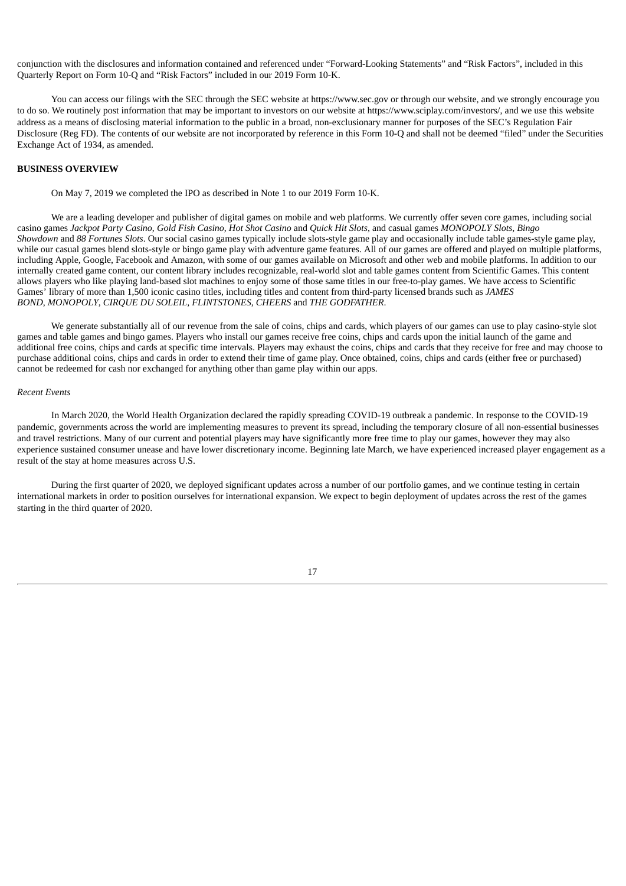conjunction with the disclosures and information contained and referenced under "Forward-Looking Statements" and "Risk Factors", included in this Quarterly Report on Form 10-Q and "Risk Factors" included in our 2019 Form 10-K.

You can access our filings with the SEC through the SEC website at https://www.sec.gov or through our website, and we strongly encourage you to do so. We routinely post information that may be important to investors on our website at https://www.sciplay.com/investors/, and we use this website address as a means of disclosing material information to the public in a broad, non-exclusionary manner for purposes of the SEC's Regulation Fair Disclosure (Reg FD). The contents of our website are not incorporated by reference in this Form 10-Q and shall not be deemed "filed" under the Securities Exchange Act of 1934, as amended.

# **BUSINESS OVERVIEW**

On May 7, 2019 we completed the IPO as described in Note 1 to our 2019 Form 10-K.

We are a leading developer and publisher of digital games on mobile and web platforms. We currently offer seven core games, including social casino games Jackpot Party Casino, Gold Fish Casino, Hot Shot Casino and Quick Hit Slots, and casual games MONOPOLY Slots, Bingo *Showdown* and *88 Fortunes Slots*. Our social casino games typically include slots-style game play and occasionally include table games-style game play, while our casual games blend slots-style or bingo game play with adventure game features. All of our games are offered and played on multiple platforms, including Apple, Google, Facebook and Amazon, with some of our games available on Microsoft and other web and mobile platforms. In addition to our internally created game content, our content library includes recognizable, real-world slot and table games content from Scientific Games. This content allows players who like playing land-based slot machines to enjoy some of those same titles in our free-to-play games. We have access to Scientific Games' library of more than 1,500 iconic casino titles, including titles and content from third-party licensed brands such as *JAMES BOND*, *MONOPOLY*, *CIRQUE DU SOLEIL, FLINTSTONES*, *CHEERS* and *THE GODFATHER*.

We generate substantially all of our revenue from the sale of coins, chips and cards, which players of our games can use to play casino-style slot games and table games and bingo games. Players who install our games receive free coins, chips and cards upon the initial launch of the game and additional free coins, chips and cards at specific time intervals. Players may exhaust the coins, chips and cards that they receive for free and may choose to purchase additional coins, chips and cards in order to extend their time of game play. Once obtained, coins, chips and cards (either free or purchased) cannot be redeemed for cash nor exchanged for anything other than game play within our apps.

#### *Recent Events*

In March 2020, the World Health Organization declared the rapidly spreading COVID-19 outbreak a pandemic. In response to the COVID-19 pandemic, governments across the world are implementing measures to prevent its spread, including the temporary closure of all non-essential businesses and travel restrictions. Many of our current and potential players may have significantly more free time to play our games, however they may also experience sustained consumer unease and have lower discretionary income. Beginning late March, we have experienced increased player engagement as a result of the stay at home measures across U.S.

During the first quarter of 2020, we deployed significant updates across a number of our portfolio games, and we continue testing in certain international markets in order to position ourselves for international expansion. We expect to begin deployment of updates across the rest of the games starting in the third quarter of 2020.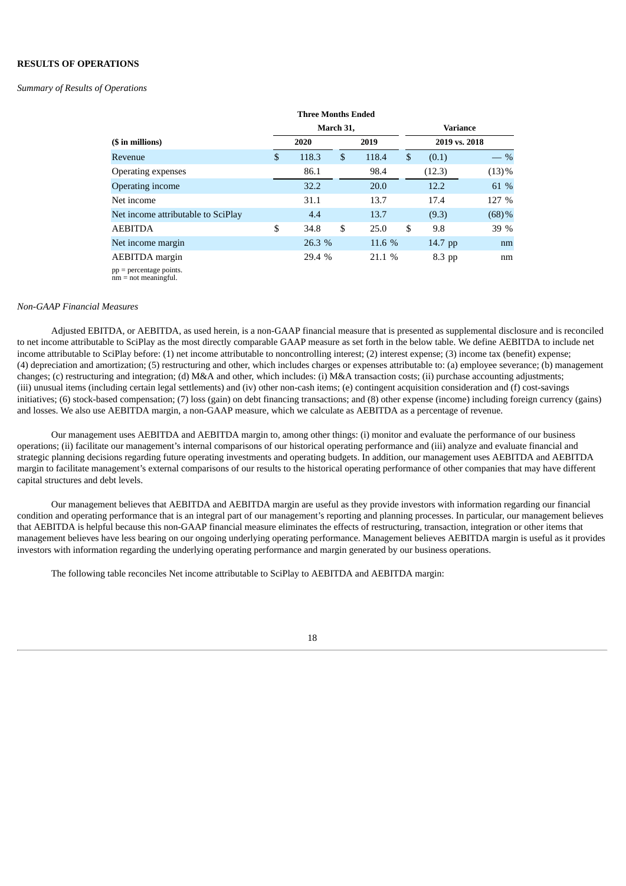# **RESULTS OF OPERATIONS**

### *Summary of Results of Operations*

|                                                      |                | <b>Three Months Ended</b> |              |        |          |               |          |  |
|------------------------------------------------------|----------------|---------------------------|--------------|--------|----------|---------------|----------|--|
|                                                      | March 31,      |                           |              |        | Variance |               |          |  |
| (\$ in millions)                                     |                | 2020                      |              | 2019   |          | 2019 vs. 2018 |          |  |
| Revenue                                              | $\mathfrak{L}$ | 118.3                     | $\mathbb{S}$ | 118.4  | \$       | (0.1)         | $-$ %    |  |
| Operating expenses                                   |                | 86.1                      |              | 98.4   |          | (12.3)        | $(13)\%$ |  |
| <b>Operating income</b>                              |                | 32.2                      |              | 20.0   |          | 12.2          | 61 %     |  |
| Net income                                           |                | 31.1                      |              | 13.7   |          | 17.4          | 127 %    |  |
| Net income attributable to SciPlay                   |                | 4.4                       |              | 13.7   |          | (9.3)         | $(68)$ % |  |
| <b>AEBITDA</b>                                       | \$             | 34.8                      | \$           | 25.0   | \$       | 9.8           | 39 %     |  |
| Net income margin                                    |                | 26.3 %                    |              | 11.6 % |          | 14.7 pp       | nm       |  |
| <b>AEBITDA</b> margin                                |                | 29.4 %                    |              | 21.1 % |          | 8.3 pp        | nm       |  |
| $pp = percentage points.$<br>$nm = not meaningful$ . |                |                           |              |        |          |               |          |  |

## *Non-GAAP Financial Measures*

Adjusted EBITDA, or AEBITDA, as used herein, is a non-GAAP financial measure that is presented as supplemental disclosure and is reconciled to net income attributable to SciPlay as the most directly comparable GAAP measure as set forth in the below table. We define AEBITDA to include net income attributable to SciPlay before: (1) net income attributable to noncontrolling interest; (2) interest expense; (3) income tax (benefit) expense; (4) depreciation and amortization; (5) restructuring and other, which includes charges or expenses attributable to: (a) employee severance; (b) management changes; (c) restructuring and integration; (d) M&A and other, which includes: (i) M&A transaction costs; (ii) purchase accounting adjustments; (iii) unusual items (including certain legal settlements) and (iv) other non-cash items; (e) contingent acquisition consideration and (f) cost-savings initiatives; (6) stock-based compensation; (7) loss (gain) on debt financing transactions; and (8) other expense (income) including foreign currency (gains) and losses. We also use AEBITDA margin, a non-GAAP measure, which we calculate as AEBITDA as a percentage of revenue.

Our management uses AEBITDA and AEBITDA margin to, among other things: (i) monitor and evaluate the performance of our business operations; (ii) facilitate our management's internal comparisons of our historical operating performance and (iii) analyze and evaluate financial and strategic planning decisions regarding future operating investments and operating budgets. In addition, our management uses AEBITDA and AEBITDA margin to facilitate management's external comparisons of our results to the historical operating performance of other companies that may have different capital structures and debt levels.

Our management believes that AEBITDA and AEBITDA margin are useful as they provide investors with information regarding our financial condition and operating performance that is an integral part of our management's reporting and planning processes. In particular, our management believes that AEBITDA is helpful because this non-GAAP financial measure eliminates the effects of restructuring, transaction, integration or other items that management believes have less bearing on our ongoing underlying operating performance. Management believes AEBITDA margin is useful as it provides investors with information regarding the underlying operating performance and margin generated by our business operations.

The following table reconciles Net income attributable to SciPlay to AEBITDA and AEBITDA margin: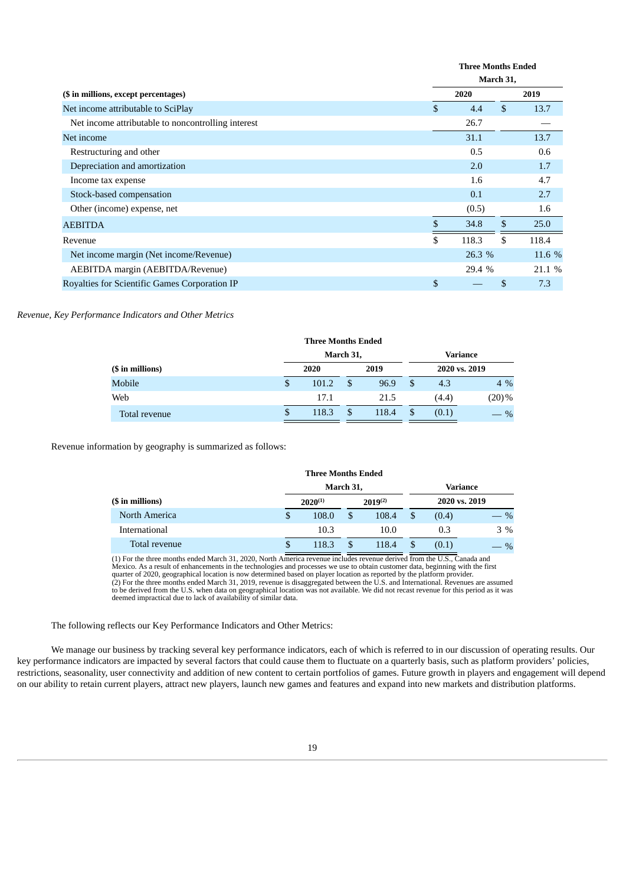|                                                    | <b>Three Months Ended</b> |              |        |  |  |  |
|----------------------------------------------------|---------------------------|--------------|--------|--|--|--|
|                                                    | March 31,                 |              |        |  |  |  |
| (\$ in millions, except percentages)               | 2020                      |              | 2019   |  |  |  |
| Net income attributable to SciPlay                 | \$<br>4.4                 | $\mathbb{S}$ | 13.7   |  |  |  |
| Net income attributable to noncontrolling interest | 26.7                      |              |        |  |  |  |
| Net income                                         | 31.1                      |              | 13.7   |  |  |  |
| Restructuring and other                            | 0.5                       |              | 0.6    |  |  |  |
| Depreciation and amortization                      | 2.0                       |              | 1.7    |  |  |  |
| Income tax expense                                 | 1.6                       |              | 4.7    |  |  |  |
| Stock-based compensation                           | 0.1                       |              | 2.7    |  |  |  |
| Other (income) expense, net                        | (0.5)                     |              | 1.6    |  |  |  |
| <b>AEBITDA</b>                                     | \$<br>34.8                | \$           | 25.0   |  |  |  |
| Revenue                                            | \$<br>118.3               | \$           | 118.4  |  |  |  |
| Net income margin (Net income/Revenue)             | 26.3 %                    |              | 11.6 % |  |  |  |
| AEBITDA margin (AEBITDA/Revenue)                   | 29.4 %                    |              | 21.1 % |  |  |  |
| Royalties for Scientific Games Corporation IP      | \$                        |              | 7.3    |  |  |  |

# *Revenue, Key Performance Indicators and Other Metrics*

|                  |     | <b>Three Months Ended</b> |           |       |               |          |
|------------------|-----|---------------------------|-----------|-------|---------------|----------|
|                  |     |                           | March 31, |       | Variance      |          |
| (\$ in millions) |     | 2020                      |           | 2019  | 2020 vs. 2019 |          |
| Mobile           | \$. | 101.2                     | \$        | 96.9  | \$<br>4.3     | $4\%$    |
| Web              |     | 17.1                      |           | 21.5  | (4.4)         | $(20)\%$ |
| Total revenue    | \$  | 118.3                     | \$        | 118.4 | (0.1)         | $-$ %    |

Revenue information by geography is summarized as follows:

|                  |    | <b>Three Months Ended</b> |           |              |   |               |       |
|------------------|----|---------------------------|-----------|--------------|---|---------------|-------|
|                  |    |                           | March 31, | Variance     |   |               |       |
| (\$ in millions) |    | $2020^{(1)}$              |           | $2019^{(2)}$ |   | 2020 vs. 2019 |       |
| North America    | \$ | 108.0                     | \$        | 108.4        | S | (0.4)         | $-$ % |
| International    |    | 10.3                      |           | 10.0         |   | 0.3           | 3 %   |
| Total revenue    | \$ | 118.3                     | \$        | 118.4        |   | (0.1)         | $\%$  |

(1) For the three months ended March 31, 2020, North America revenue includes revenue derived from the U.S., Canada and<br>Mexico. As a result of enhancements in the technologies and processes we use to obtain customer data, to be derived from the U.S. when data on geographical location was not available. We did not recast revenue for this period as it was deemed impractical due to lack of availability of similar data.

The following reflects our Key Performance Indicators and Other Metrics:

We manage our business by tracking several key performance indicators, each of which is referred to in our discussion of operating results. Our key performance indicators are impacted by several factors that could cause them to fluctuate on a quarterly basis, such as platform providers' policies, restrictions, seasonality, user connectivity and addition of new content to certain portfolios of games. Future growth in players and engagement will depend on our ability to retain current players, attract new players, launch new games and features and expand into new markets and distribution platforms.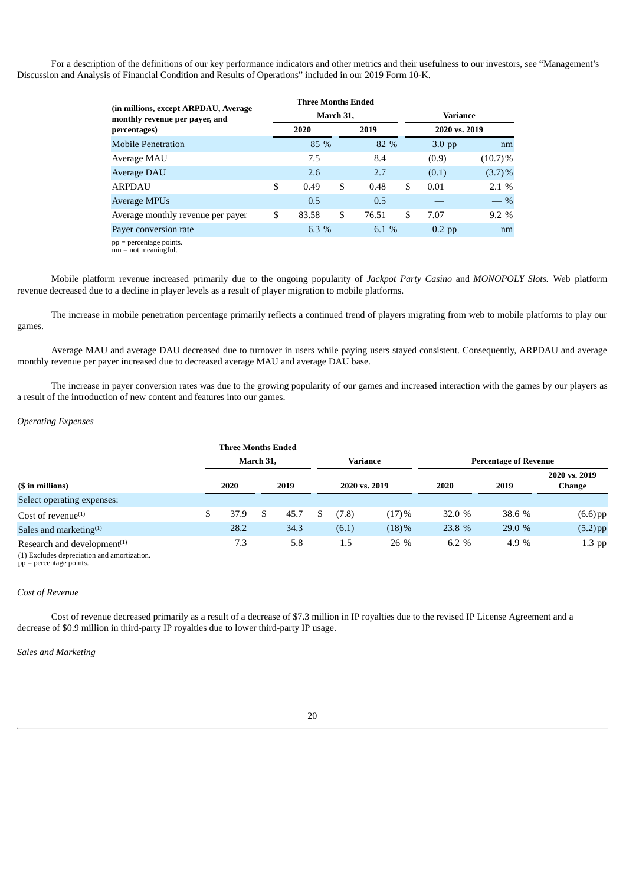For a description of the definitions of our key performance indicators and other metrics and their usefulness to our investors, see "Management's Discussion and Analysis of Financial Condition and Results of Operations" included in our 2019 Form 10-K.

|                                                                        | <b>Three Months Ended</b> |             |               |          |            |  |  |
|------------------------------------------------------------------------|---------------------------|-------------|---------------|----------|------------|--|--|
| (in millions, except ARPDAU, Average<br>monthly revenue per payer, and | March 31,                 |             |               | Variance |            |  |  |
| percentages)                                                           | 2020                      | 2019        | 2020 vs. 2019 |          |            |  |  |
| <b>Mobile Penetration</b>                                              | 85 %                      | 82 %        |               | $3.0$ pp | nm         |  |  |
| Average MAU                                                            | 7.5                       | 8.4         |               | (0.9)    | $(10.7)\%$ |  |  |
| Average DAU                                                            | 2.6                       | 2.7         |               | (0.1)    | $(3.7)\%$  |  |  |
| ARPDAU                                                                 | \$<br>0.49                | \$<br>0.48  | \$            | 0.01     | 2.1%       |  |  |
| Average MPUs                                                           | 0.5                       | 0.5         |               |          | $-$ %      |  |  |
| Average monthly revenue per payer                                      | \$<br>83.58               | \$<br>76.51 | \$            | 7.07     | 9.2%       |  |  |
| Payer conversion rate                                                  | 6.3 %                     | 6.1 %       |               | $0.2$ pp | nm         |  |  |
| nn = norcontago nointe                                                 |                           |             |               |          |            |  |  |

pp = percentage points. nm = not meaningful.

Mobile platform revenue increased primarily due to the ongoing popularity of *Jackpot Party Casino* and *MONOPOLY Slots.* Web platform revenue decreased due to a decline in player levels as a result of player migration to mobile platforms.

The increase in mobile penetration percentage primarily reflects a continued trend of players migrating from web to mobile platforms to play our games.

Average MAU and average DAU decreased due to turnover in users while paying users stayed consistent. Consequently, ARPDAU and average monthly revenue per payer increased due to decreased average MAU and average DAU base.

The increase in payer conversion rates was due to the growing popularity of our games and increased interaction with the games by our players as a result of the introduction of new content and features into our games.

### *Operating Expenses*

|                                         |           | <b>Three Months Ended</b> |  |          |  |       |                              |          |        |                                |
|-----------------------------------------|-----------|---------------------------|--|----------|--|-------|------------------------------|----------|--------|--------------------------------|
|                                         | March 31, |                           |  | Variance |  |       | <b>Percentage of Revenue</b> |          |        |                                |
| (\$ in millions)                        |           | 2020                      |  | 2019     |  |       | 2020 vs. 2019                | 2020     | 2019   | 2020 vs. 2019<br><b>Change</b> |
| Select operating expenses:              |           |                           |  |          |  |       |                              |          |        |                                |
| Cost of revenue $(1)$                   | \$        | 37.9                      |  | 45.7     |  | (7.8) | (17)%                        | 32.0 $%$ | 38.6 % | $(6.6)$ pp                     |
| Sales and marketing $(1)$               |           | 28.2                      |  | 34.3     |  | (6.1) | $(18)\%$                     | 23.8 %   | 29.0%  | $(5.2)$ pp                     |
| Research and development <sup>(1)</sup> |           | 7.3                       |  | 5.8      |  | 1.5   | 26 %                         | 6.2 $%$  | 4.9 %  | 1.3 pp                         |

(1) Excludes depreciation and amortization.  $pp =$  percentage points.

# *Cost of Revenue*

Cost of revenue decreased primarily as a result of a decrease of \$7.3 million in IP royalties due to the revised IP License Agreement and a decrease of \$0.9 million in third-party IP royalties due to lower third-party IP usage.

*Sales and Marketing*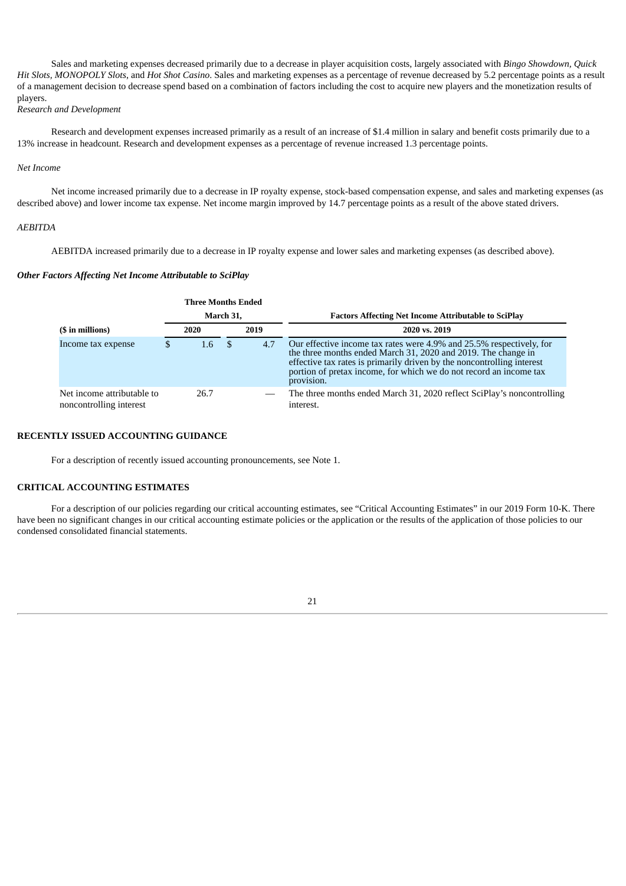Sales and marketing expenses decreased primarily due to a decrease in player acquisition costs, largely associated with *Bingo Showdown, Quick Hit Slots, MONOPOLY Slots*, and *Hot Shot Casino*. Sales and marketing expenses as a percentage of revenue decreased by 5.2 percentage points as a result of a management decision to decrease spend based on a combination of factors including the cost to acquire new players and the monetization results of players.

*Research and Development*

Research and development expenses increased primarily as a result of an increase of \$1.4 million in salary and benefit costs primarily due to a 13% increase in headcount. Research and development expenses as a percentage of revenue increased 1.3 percentage points.

### *Net Income*

Net income increased primarily due to a decrease in IP royalty expense, stock-based compensation expense, and sales and marketing expenses (as described above) and lower income tax expense. Net income margin improved by 14.7 percentage points as a result of the above stated drivers.

#### *AEBITDA*

AEBITDA increased primarily due to a decrease in IP royalty expense and lower sales and marketing expenses (as described above).

### *Other Factors Affecting Net Income Attributable to SciPlay*

|                                                       |   | <b>Three Months Ended</b> |  |      |                                                                                                                                                                                                                                                                                                     |  |  |  |  |
|-------------------------------------------------------|---|---------------------------|--|------|-----------------------------------------------------------------------------------------------------------------------------------------------------------------------------------------------------------------------------------------------------------------------------------------------------|--|--|--|--|
| March 31,                                             |   |                           |  |      | <b>Factors Affecting Net Income Attributable to SciPlay</b>                                                                                                                                                                                                                                         |  |  |  |  |
| (\$ in millions)                                      |   | 2020                      |  | 2019 | 2020 vs. 2019                                                                                                                                                                                                                                                                                       |  |  |  |  |
| Income tax expense                                    | S | 1.6                       |  | 4.7  | Our effective income tax rates were 4.9% and 25.5% respectively, for<br>the three months ended March 31, 2020 and 2019. The change in<br>effective tax rates is primarily driven by the noncontrolling interest<br>portion of pretax income, for which we do not record an income tax<br>provision. |  |  |  |  |
| Net income attributable to<br>noncontrolling interest |   | 26.7                      |  |      | The three months ended March 31, 2020 reflect SciPlay's noncontrolling<br>interest.                                                                                                                                                                                                                 |  |  |  |  |

# **RECENTLY ISSUED ACCOUNTING GUIDANCE**

For a description of recently issued accounting pronouncements, see Note 1.

### **CRITICAL ACCOUNTING ESTIMATES**

For a description of our policies regarding our critical accounting estimates, see "Critical Accounting Estimates" in our 2019 Form 10-K. There have been no significant changes in our critical accounting estimate policies or the application or the results of the application of those policies to our condensed consolidated financial statements.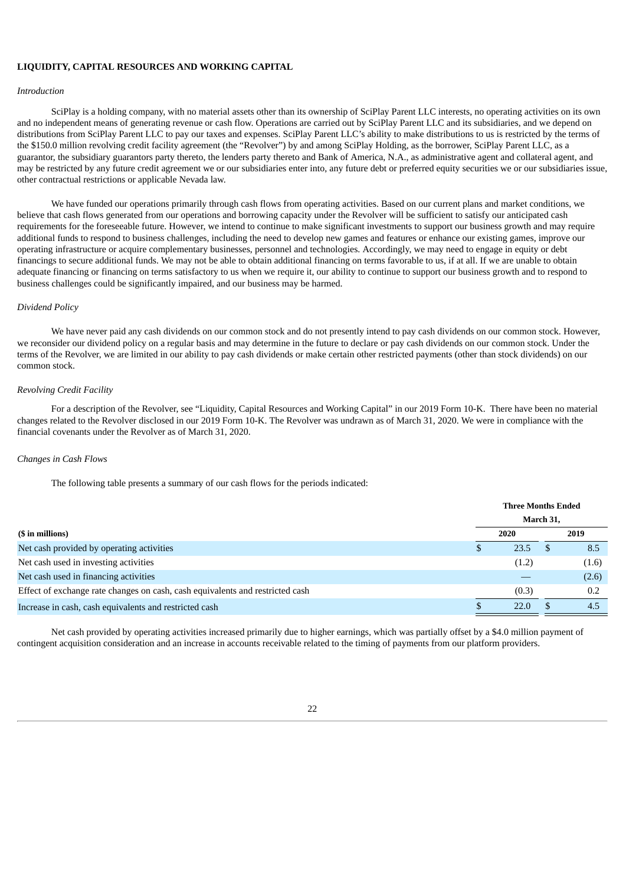### **LIQUIDITY, CAPITAL RESOURCES AND WORKING CAPITAL**

#### *Introduction*

SciPlay is a holding company, with no material assets other than its ownership of SciPlay Parent LLC interests, no operating activities on its own and no independent means of generating revenue or cash flow. Operations are carried out by SciPlay Parent LLC and its subsidiaries, and we depend on distributions from SciPlay Parent LLC to pay our taxes and expenses. SciPlay Parent LLC's ability to make distributions to us is restricted by the terms of the \$150.0 million revolving credit facility agreement (the "Revolver") by and among SciPlay Holding, as the borrower, SciPlay Parent LLC, as a guarantor, the subsidiary guarantors party thereto, the lenders party thereto and Bank of America, N.A., as administrative agent and collateral agent, and may be restricted by any future credit agreement we or our subsidiaries enter into, any future debt or preferred equity securities we or our subsidiaries issue, other contractual restrictions or applicable Nevada law.

We have funded our operations primarily through cash flows from operating activities. Based on our current plans and market conditions, we believe that cash flows generated from our operations and borrowing capacity under the Revolver will be sufficient to satisfy our anticipated cash requirements for the foreseeable future. However, we intend to continue to make significant investments to support our business growth and may require additional funds to respond to business challenges, including the need to develop new games and features or enhance our existing games, improve our operating infrastructure or acquire complementary businesses, personnel and technologies. Accordingly, we may need to engage in equity or debt financings to secure additional funds. We may not be able to obtain additional financing on terms favorable to us, if at all. If we are unable to obtain adequate financing or financing on terms satisfactory to us when we require it, our ability to continue to support our business growth and to respond to business challenges could be significantly impaired, and our business may be harmed.

### *Dividend Policy*

We have never paid any cash dividends on our common stock and do not presently intend to pay cash dividends on our common stock. However, we reconsider our dividend policy on a regular basis and may determine in the future to declare or pay cash dividends on our common stock. Under the terms of the Revolver, we are limited in our ability to pay cash dividends or make certain other restricted payments (other than stock dividends) on our common stock.

### *Revolving Credit Facility*

For a description of the Revolver, see "Liquidity, Capital Resources and Working Capital" in our 2019 Form 10-K. There have been no material changes related to the Revolver disclosed in our 2019 Form 10-K. The Revolver was undrawn as of March 31, 2020. We were in compliance with the financial covenants under the Revolver as of March 31, 2020.

#### *Changes in Cash Flows*

The following table presents a summary of our cash flows for the periods indicated:

|                                                                               | <b>Three Months Ended</b> |       |           |       |  |  |  |  |
|-------------------------------------------------------------------------------|---------------------------|-------|-----------|-------|--|--|--|--|
|                                                                               |                           |       | March 31, |       |  |  |  |  |
| (\$ in millions)                                                              |                           | 2020  |           | 2019  |  |  |  |  |
| Net cash provided by operating activities                                     | D                         | 23.5  |           | 8.5   |  |  |  |  |
| Net cash used in investing activities                                         |                           | (1.2) |           | (1.6) |  |  |  |  |
| Net cash used in financing activities                                         |                           |       |           | (2.6) |  |  |  |  |
| Effect of exchange rate changes on cash, cash equivalents and restricted cash |                           | (0.3) |           | 0.2   |  |  |  |  |
| Increase in cash, cash equivalents and restricted cash                        |                           | 22.0  |           | 4.5   |  |  |  |  |

Net cash provided by operating activities increased primarily due to higher earnings, which was partially offset by a \$4.0 million payment of contingent acquisition consideration and an increase in accounts receivable related to the timing of payments from our platform providers.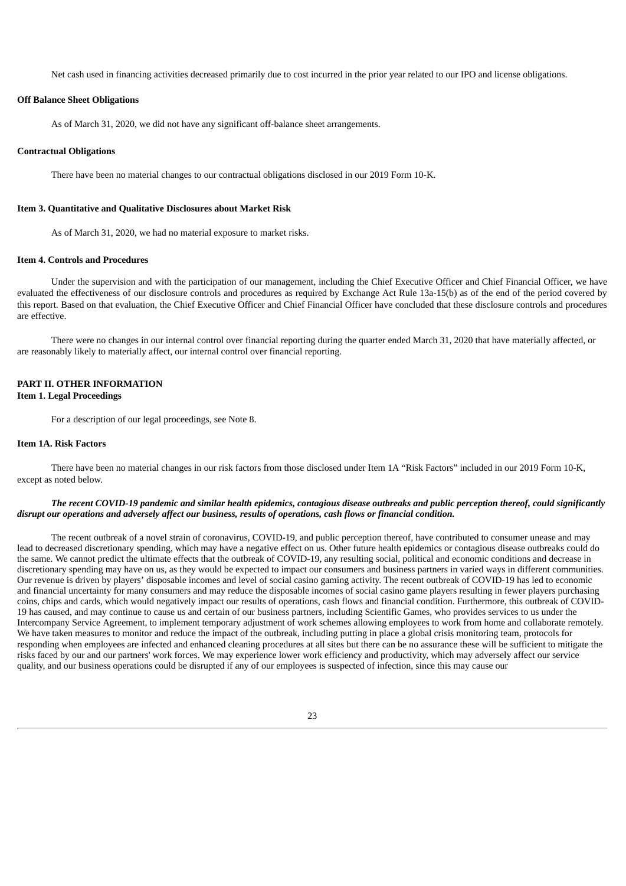Net cash used in financing activities decreased primarily due to cost incurred in the prior year related to our IPO and license obligations.

### **Off Balance Sheet Obligations**

As of March 31, 2020, we did not have any significant off-balance sheet arrangements.

#### **Contractual Obligations**

There have been no material changes to our contractual obligations disclosed in our 2019 Form 10-K.

#### <span id="page-22-0"></span>**Item 3. Quantitative and Qualitative Disclosures about Market Risk**

As of March 31, 2020, we had no material exposure to market risks.

### <span id="page-22-1"></span>**Item 4. Controls and Procedures**

Under the supervision and with the participation of our management, including the Chief Executive Officer and Chief Financial Officer, we have evaluated the effectiveness of our disclosure controls and procedures as required by Exchange Act Rule 13a-15(b) as of the end of the period covered by this report. Based on that evaluation, the Chief Executive Officer and Chief Financial Officer have concluded that these disclosure controls and procedures are effective.

There were no changes in our internal control over financial reporting during the quarter ended March 31, 2020 that have materially affected, or are reasonably likely to materially affect, our internal control over financial reporting.

#### <span id="page-22-3"></span><span id="page-22-2"></span>**PART II. OTHER INFORMATION Item 1. Legal Proceedings**

For a description of our legal proceedings, see Note 8.

# <span id="page-22-4"></span>**Item 1A. Risk Factors**

There have been no material changes in our risk factors from those disclosed under Item 1A "Risk Factors" included in our 2019 Form 10-K, except as noted below.

# The recent COVID-19 pandemic and similar health epidemics, contagious disease outbreaks and public perception thereof, could significantly disrupt our operations and adversely affect our business, results of operations, cash flows or financial condition.

The recent outbreak of a novel strain of coronavirus, COVID-19, and public perception thereof, have contributed to consumer unease and may lead to decreased discretionary spending, which may have a negative effect on us. Other future health epidemics or contagious disease outbreaks could do the same. We cannot predict the ultimate effects that the outbreak of COVID-19, any resulting social, political and economic conditions and decrease in discretionary spending may have on us, as they would be expected to impact our consumers and business partners in varied ways in different communities. Our revenue is driven by players' disposable incomes and level of social casino gaming activity. The recent outbreak of COVID-19 has led to economic and financial uncertainty for many consumers and may reduce the disposable incomes of social casino game players resulting in fewer players purchasing coins, chips and cards, which would negatively impact our results of operations, cash flows and financial condition. Furthermore, this outbreak of COVID-19 has caused, and may continue to cause us and certain of our business partners, including Scientific Games, who provides services to us under the Intercompany Service Agreement, to implement temporary adjustment of work schemes allowing employees to work from home and collaborate remotely. We have taken measures to monitor and reduce the impact of the outbreak, including putting in place a global crisis monitoring team, protocols for responding when employees are infected and enhanced cleaning procedures at all sites but there can be no assurance these will be sufficient to mitigate the risks faced by our and our partners' work forces. We may experience lower work efficiency and productivity, which may adversely affect our service quality, and our business operations could be disrupted if any of our employees is suspected of infection, since this may cause our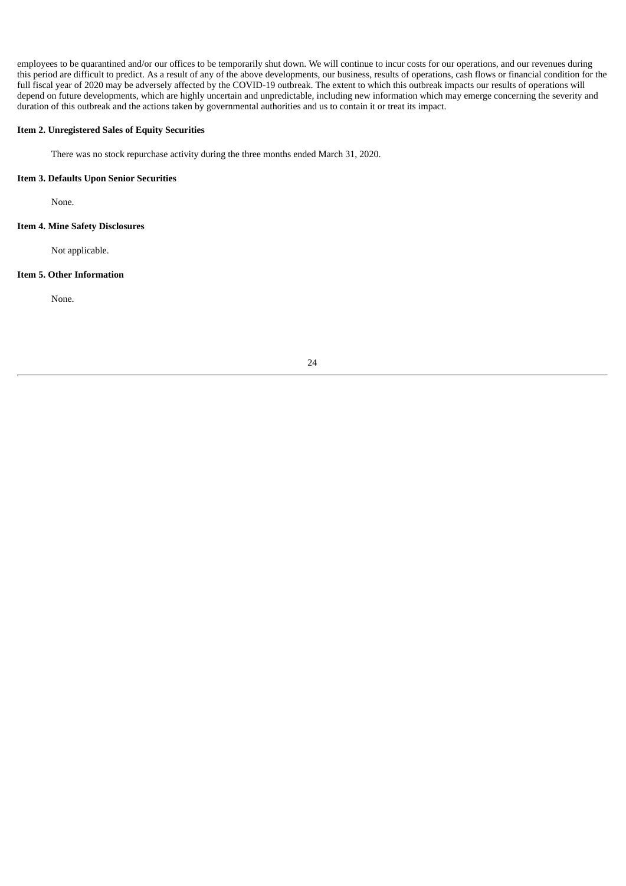employees to be quarantined and/or our offices to be temporarily shut down. We will continue to incur costs for our operations, and our revenues during this period are difficult to predict. As a result of any of the above developments, our business, results of operations, cash flows or financial condition for the full fiscal year of 2020 may be adversely affected by the COVID-19 outbreak. The extent to which this outbreak impacts our results of operations will depend on future developments, which are highly uncertain and unpredictable, including new information which may emerge concerning the severity and duration of this outbreak and the actions taken by governmental authorities and us to contain it or treat its impact.

### <span id="page-23-0"></span>**Item 2. Unregistered Sales of Equity Securities**

There was no stock repurchase activity during the three months ended March 31, 2020.

# <span id="page-23-1"></span>**Item 3. Defaults Upon Senior Securities**

None.

### <span id="page-23-2"></span>**Item 4. Mine Safety Disclosures**

Not applicable.

# <span id="page-23-3"></span>**Item 5. Other Information**

<span id="page-23-4"></span>None.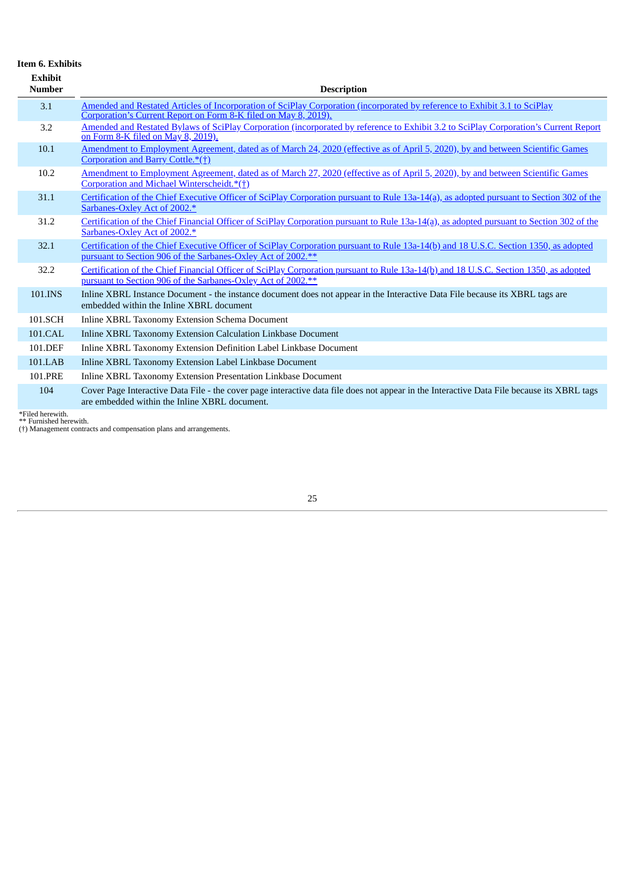| Item 6. Exhibits                |                                                                                                                                                                                                       |
|---------------------------------|-------------------------------------------------------------------------------------------------------------------------------------------------------------------------------------------------------|
| <b>Exhibit</b><br><b>Number</b> | <b>Description</b>                                                                                                                                                                                    |
| 3.1                             | Amended and Restated Articles of Incorporation of SciPlay Corporation (incorporated by reference to Exhibit 3.1 to SciPlay<br>Corporation's Current Report on Form 8-K filed on May 8, 2019).         |
| 3.2                             | Amended and Restated Bylaws of SciPlay Corporation (incorporated by reference to Exhibit 3.2 to SciPlay Corporation's Current Report<br>on Form 8-K filed on May 8, 2019).                            |
| 10.1                            | Amendment to Employment Agreement, dated as of March 24, 2020 (effective as of April 5, 2020), by and between Scientific Games<br>Corporation and Barry Cottle.*(†)                                   |
| 10.2                            | Amendment to Employment Agreement, dated as of March 27, 2020 (effective as of April 5, 2020), by and between Scientific Games<br>Corporation and Michael Winterscheidt.*(†)                          |
| 31.1                            | Certification of the Chief Executive Officer of SciPlay Corporation pursuant to Rule 13a-14(a), as adopted pursuant to Section 302 of the<br>Sarbanes-Oxley Act of 2002.*                             |
| 31.2                            | Certification of the Chief Financial Officer of SciPlay Corporation pursuant to Rule 13a-14(a), as adopted pursuant to Section 302 of the<br>Sarbanes-Oxley Act of 2002.*                             |
| 32.1                            | Certification of the Chief Executive Officer of SciPlay Corporation pursuant to Rule 13a-14(b) and 18 U.S.C. Section 1350, as adopted<br>pursuant to Section 906 of the Sarbanes-Oxley Act of 2002.** |
| 32.2                            | Certification of the Chief Financial Officer of SciPlay Corporation pursuant to Rule 13a-14(b) and 18 U.S.C. Section 1350, as adopted<br>pursuant to Section 906 of the Sarbanes-Oxley Act of 2002.** |
| 101.INS                         | Inline XBRL Instance Document - the instance document does not appear in the Interactive Data File because its XBRL tags are<br>embedded within the Inline XBRL document                              |
| 101.SCH                         | Inline XBRL Taxonomy Extension Schema Document                                                                                                                                                        |
| 101.CAL                         | Inline XBRL Taxonomy Extension Calculation Linkbase Document                                                                                                                                          |
| 101.DEF                         | Inline XBRL Taxonomy Extension Definition Label Linkbase Document                                                                                                                                     |
| 101.LAB                         | Inline XBRL Taxonomy Extension Label Linkbase Document                                                                                                                                                |
| 101.PRE                         | Inline XBRL Taxonomy Extension Presentation Linkbase Document                                                                                                                                         |
| 104                             | Cover Page Interactive Data File - the cover page interactive data file does not appear in the Interactive Data File because its XBRL tags<br>are embedded within the Inline XBRL document.           |

\*Filed herewith. \*\* Furnished herewith. (†) Management contracts and compensation plans and arrangements.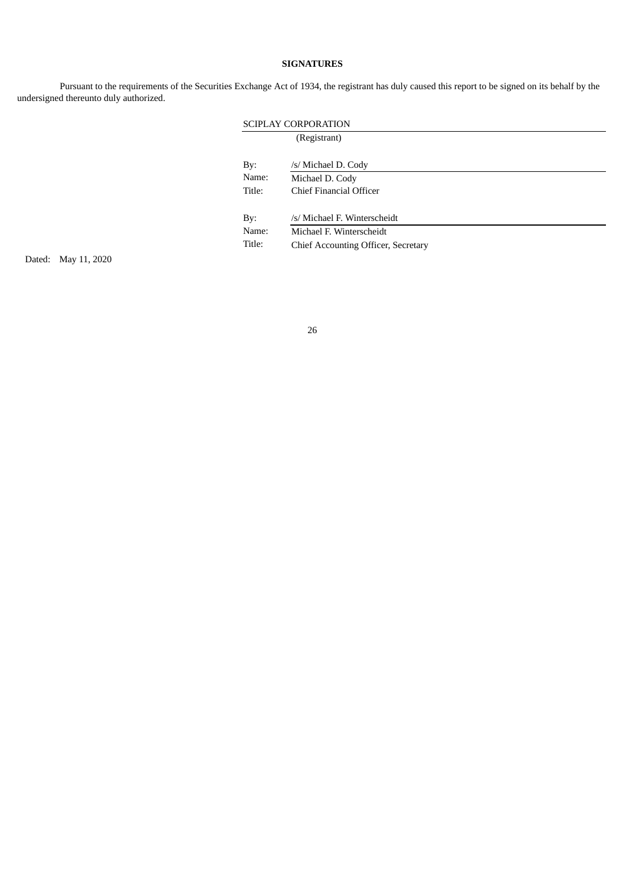# **SIGNATURES**

Pursuant to the requirements of the Securities Exchange Act of 1934, the registrant has duly caused this report to be signed on its behalf by the undersigned thereunto duly authorized.

| <b>SCIPLAY CORPORATION</b>                 |
|--------------------------------------------|
| (Registrant)                               |
| /s/ Michael D. Cody                        |
| Michael D. Cody                            |
| Chief Financial Officer                    |
|                                            |
| /s/ Michael F. Winterscheidt               |
| Michael F. Winterscheidt                   |
| <b>Chief Accounting Officer, Secretary</b> |
|                                            |

Dated: May 11, 2020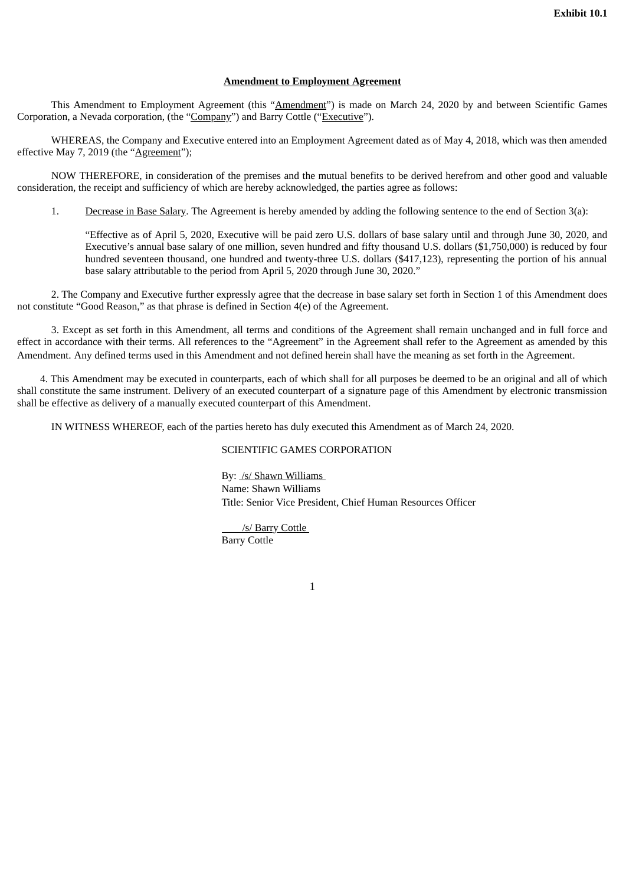# **Amendment to Employment Agreement**

<span id="page-26-0"></span>This Amendment to Employment Agreement (this "Amendment") is made on March 24, 2020 by and between Scientific Games Corporation, a Nevada corporation, (the "Company") and Barry Cottle ("Executive").

WHEREAS, the Company and Executive entered into an Employment Agreement dated as of May 4, 2018, which was then amended effective May 7, 2019 (the "Agreement");

NOW THEREFORE, in consideration of the premises and the mutual benefits to be derived herefrom and other good and valuable consideration, the receipt and sufficiency of which are hereby acknowledged, the parties agree as follows:

1. Decrease in Base Salary. The Agreement is hereby amended by adding the following sentence to the end of Section 3(a):

"Effective as of April 5, 2020, Executive will be paid zero U.S. dollars of base salary until and through June 30, 2020, and Executive's annual base salary of one million, seven hundred and fifty thousand U.S. dollars (\$1,750,000) is reduced by four hundred seventeen thousand, one hundred and twenty-three U.S. dollars (\$417,123), representing the portion of his annual base salary attributable to the period from April 5, 2020 through June 30, 2020."

2. The Company and Executive further expressly agree that the decrease in base salary set forth in Section 1 of this Amendment does not constitute "Good Reason," as that phrase is defined in Section 4(e) of the Agreement.

3. Except as set forth in this Amendment, all terms and conditions of the Agreement shall remain unchanged and in full force and effect in accordance with their terms. All references to the "Agreement" in the Agreement shall refer to the Agreement as amended by this Amendment. Any defined terms used in this Amendment and not defined herein shall have the meaning as set forth in the Agreement.

4. This Amendment may be executed in counterparts, each of which shall for all purposes be deemed to be an original and all of which shall constitute the same instrument. Delivery of an executed counterpart of a signature page of this Amendment by electronic transmission shall be effective as delivery of a manually executed counterpart of this Amendment.

IN WITNESS WHEREOF, each of the parties hereto has duly executed this Amendment as of March 24, 2020.

# SCIENTIFIC GAMES CORPORATION

By: /s/ Shawn Williams Name: Shawn Williams Title: Senior Vice President, Chief Human Resources Officer

/s/ Barry Cottle Barry Cottle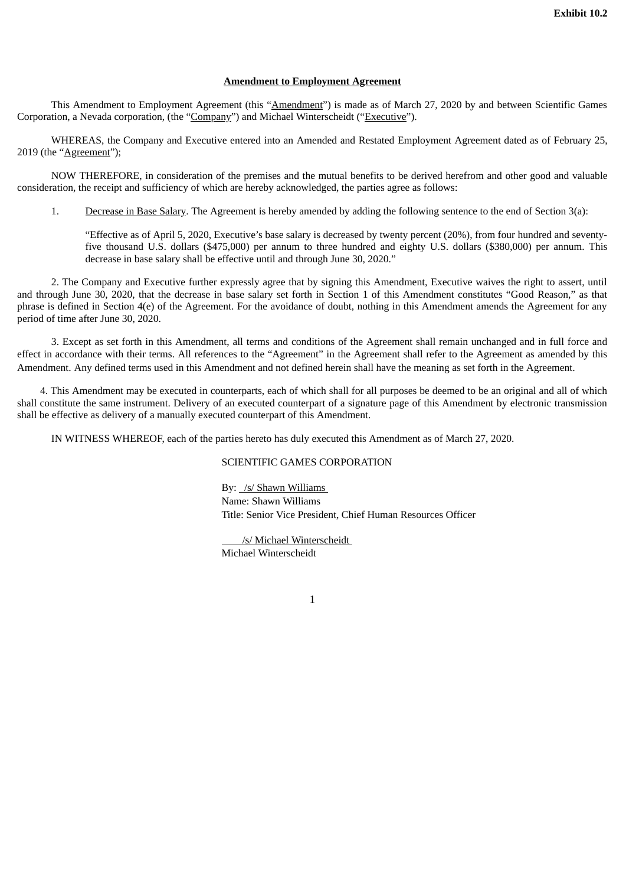# **Amendment to Employment Agreement**

<span id="page-27-0"></span>This Amendment to Employment Agreement (this "Amendment") is made as of March 27, 2020 by and between Scientific Games Corporation, a Nevada corporation, (the "Company") and Michael Winterscheidt ("Executive").

WHEREAS, the Company and Executive entered into an Amended and Restated Employment Agreement dated as of February 25, 2019 (the " $\Delta$ greement");

NOW THEREFORE, in consideration of the premises and the mutual benefits to be derived herefrom and other good and valuable consideration, the receipt and sufficiency of which are hereby acknowledged, the parties agree as follows:

1. Decrease in Base Salary. The Agreement is hereby amended by adding the following sentence to the end of Section 3(a):

"Effective as of April 5, 2020, Executive's base salary is decreased by twenty percent (20%), from four hundred and seventyfive thousand U.S. dollars (\$475,000) per annum to three hundred and eighty U.S. dollars (\$380,000) per annum. This decrease in base salary shall be effective until and through June 30, 2020."

2. The Company and Executive further expressly agree that by signing this Amendment, Executive waives the right to assert, until and through June 30, 2020, that the decrease in base salary set forth in Section 1 of this Amendment constitutes "Good Reason," as that phrase is defined in Section 4(e) of the Agreement. For the avoidance of doubt, nothing in this Amendment amends the Agreement for any period of time after June 30, 2020.

3. Except as set forth in this Amendment, all terms and conditions of the Agreement shall remain unchanged and in full force and effect in accordance with their terms. All references to the "Agreement" in the Agreement shall refer to the Agreement as amended by this Amendment. Any defined terms used in this Amendment and not defined herein shall have the meaning as set forth in the Agreement.

4. This Amendment may be executed in counterparts, each of which shall for all purposes be deemed to be an original and all of which shall constitute the same instrument. Delivery of an executed counterpart of a signature page of this Amendment by electronic transmission shall be effective as delivery of a manually executed counterpart of this Amendment.

IN WITNESS WHEREOF, each of the parties hereto has duly executed this Amendment as of March 27, 2020.

# SCIENTIFIC GAMES CORPORATION

By: /s/ Shawn Williams Name: Shawn Williams Title: Senior Vice President, Chief Human Resources Officer

/s/ Michael Winterscheidt Michael Winterscheidt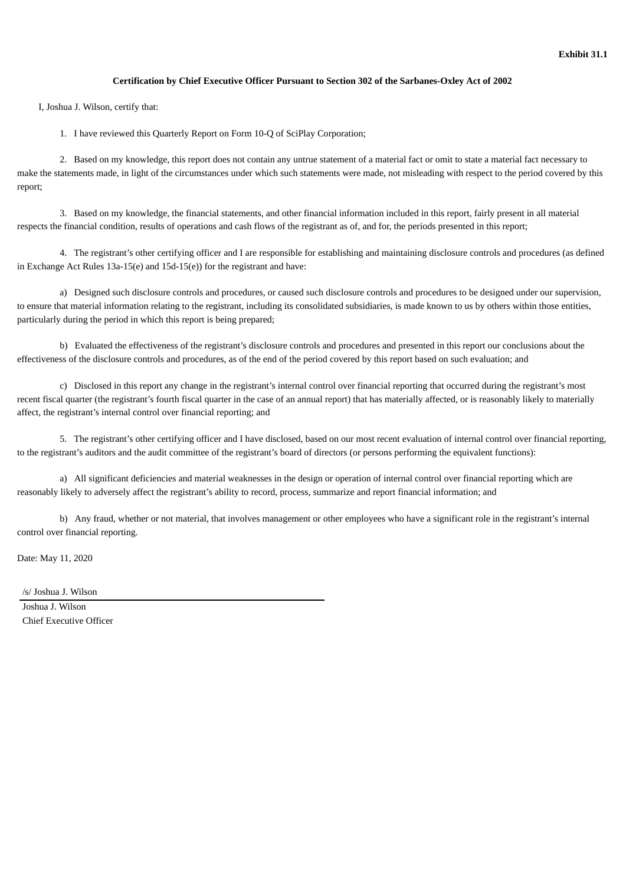### **Certification by Chief Executive Officer Pursuant to Section 302 of the Sarbanes-Oxley Act of 2002**

<span id="page-28-0"></span>I, Joshua J. Wilson, certify that:

1. I have reviewed this Quarterly Report on Form 10-Q of SciPlay Corporation;

2. Based on my knowledge, this report does not contain any untrue statement of a material fact or omit to state a material fact necessary to make the statements made, in light of the circumstances under which such statements were made, not misleading with respect to the period covered by this report;

3. Based on my knowledge, the financial statements, and other financial information included in this report, fairly present in all material respects the financial condition, results of operations and cash flows of the registrant as of, and for, the periods presented in this report;

4. The registrant's other certifying officer and I are responsible for establishing and maintaining disclosure controls and procedures (as defined in Exchange Act Rules 13a-15(e) and 15d-15(e)) for the registrant and have:

a) Designed such disclosure controls and procedures, or caused such disclosure controls and procedures to be designed under our supervision, to ensure that material information relating to the registrant, including its consolidated subsidiaries, is made known to us by others within those entities, particularly during the period in which this report is being prepared;

b) Evaluated the effectiveness of the registrant's disclosure controls and procedures and presented in this report our conclusions about the effectiveness of the disclosure controls and procedures, as of the end of the period covered by this report based on such evaluation; and

c) Disclosed in this report any change in the registrant's internal control over financial reporting that occurred during the registrant's most recent fiscal quarter (the registrant's fourth fiscal quarter in the case of an annual report) that has materially affected, or is reasonably likely to materially affect, the registrant's internal control over financial reporting; and

5. The registrant's other certifying officer and I have disclosed, based on our most recent evaluation of internal control over financial reporting, to the registrant's auditors and the audit committee of the registrant's board of directors (or persons performing the equivalent functions):

a) All significant deficiencies and material weaknesses in the design or operation of internal control over financial reporting which are reasonably likely to adversely affect the registrant's ability to record, process, summarize and report financial information; and

b) Any fraud, whether or not material, that involves management or other employees who have a significant role in the registrant's internal control over financial reporting.

Date: May 11, 2020

/s/ Joshua J. Wilson

Joshua J. Wilson Chief Executive Officer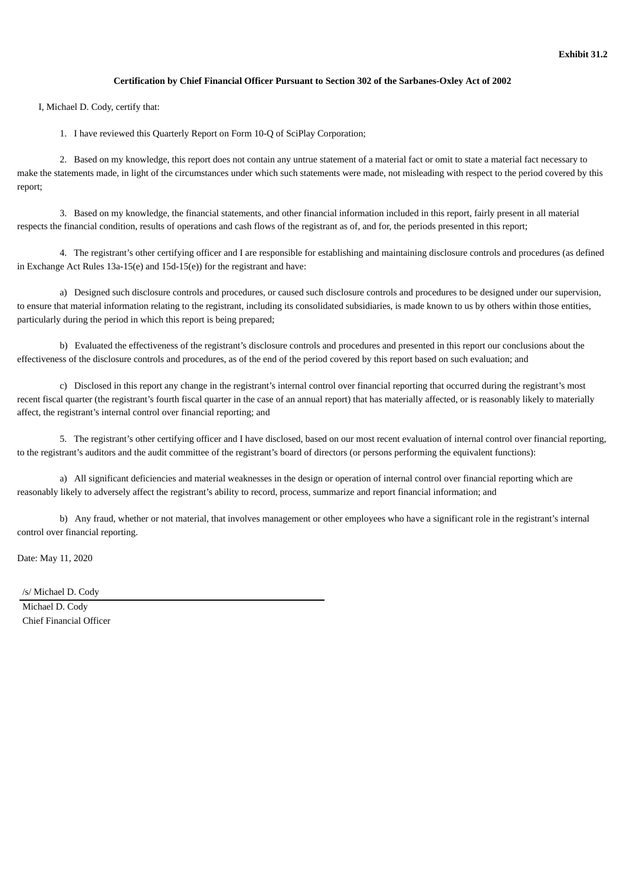### **Certification by Chief Financial Officer Pursuant to Section 302 of the Sarbanes-Oxley Act of 2002**

<span id="page-29-0"></span>I, Michael D. Cody, certify that:

1. I have reviewed this Quarterly Report on Form 10-Q of SciPlay Corporation;

2. Based on my knowledge, this report does not contain any untrue statement of a material fact or omit to state a material fact necessary to make the statements made, in light of the circumstances under which such statements were made, not misleading with respect to the period covered by this report;

3. Based on my knowledge, the financial statements, and other financial information included in this report, fairly present in all material respects the financial condition, results of operations and cash flows of the registrant as of, and for, the periods presented in this report;

4. The registrant's other certifying officer and I are responsible for establishing and maintaining disclosure controls and procedures (as defined in Exchange Act Rules 13a-15(e) and 15d-15(e)) for the registrant and have:

a) Designed such disclosure controls and procedures, or caused such disclosure controls and procedures to be designed under our supervision, to ensure that material information relating to the registrant, including its consolidated subsidiaries, is made known to us by others within those entities, particularly during the period in which this report is being prepared;

b) Evaluated the effectiveness of the registrant's disclosure controls and procedures and presented in this report our conclusions about the effectiveness of the disclosure controls and procedures, as of the end of the period covered by this report based on such evaluation; and

c) Disclosed in this report any change in the registrant's internal control over financial reporting that occurred during the registrant's most recent fiscal quarter (the registrant's fourth fiscal quarter in the case of an annual report) that has materially affected, or is reasonably likely to materially affect, the registrant's internal control over financial reporting; and

5. The registrant's other certifying officer and I have disclosed, based on our most recent evaluation of internal control over financial reporting, to the registrant's auditors and the audit committee of the registrant's board of directors (or persons performing the equivalent functions):

a) All significant deficiencies and material weaknesses in the design or operation of internal control over financial reporting which are reasonably likely to adversely affect the registrant's ability to record, process, summarize and report financial information; and

b) Any fraud, whether or not material, that involves management or other employees who have a significant role in the registrant's internal control over financial reporting.

Date: May 11, 2020

/s/ Michael D. Cody

Michael D. Cody Chief Financial Officer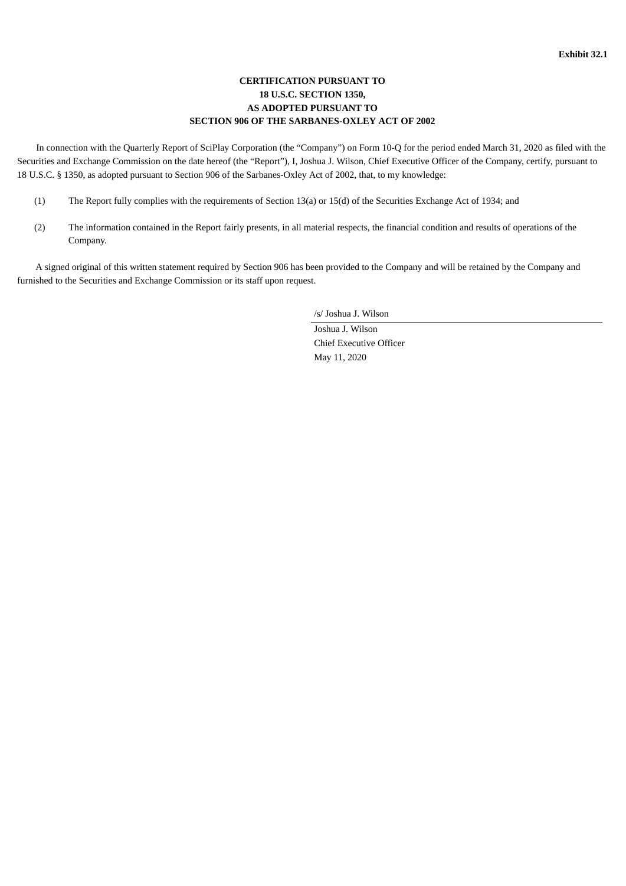# **CERTIFICATION PURSUANT TO 18 U.S.C. SECTION 1350, AS ADOPTED PURSUANT TO SECTION 906 OF THE SARBANES-OXLEY ACT OF 2002**

<span id="page-30-0"></span>In connection with the Quarterly Report of SciPlay Corporation (the "Company") on Form 10-Q for the period ended March 31, 2020 as filed with the Securities and Exchange Commission on the date hereof (the "Report"), I, Joshua J. Wilson, Chief Executive Officer of the Company, certify, pursuant to 18 U.S.C. § 1350, as adopted pursuant to Section 906 of the Sarbanes-Oxley Act of 2002, that, to my knowledge:

- (1) The Report fully complies with the requirements of Section 13(a) or 15(d) of the Securities Exchange Act of 1934; and
- (2) The information contained in the Report fairly presents, in all material respects, the financial condition and results of operations of the Company.

A signed original of this written statement required by Section 906 has been provided to the Company and will be retained by the Company and furnished to the Securities and Exchange Commission or its staff upon request.

/s/ Joshua J. Wilson

Joshua J. Wilson Chief Executive Officer May 11, 2020